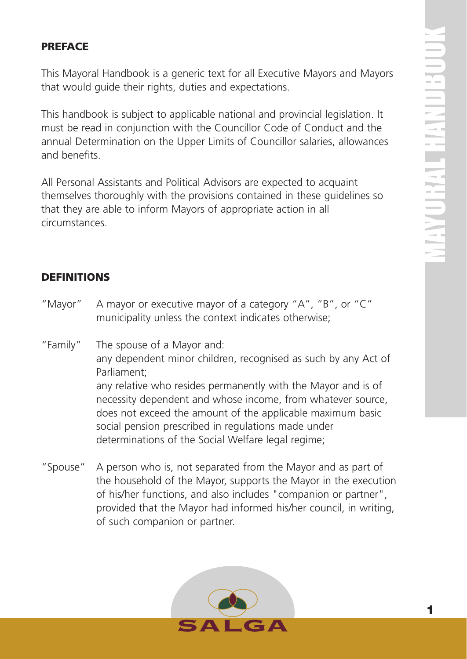#### **PREFACE**

This Mayoral Handbook is a generic text for all Executive Mayors and Mayors that would guide their rights, duties and expectations.

This handbook is subject to applicable national and provincial legislation. It must be read in conjunction with the Councillor Code of Conduct and the annual Determination on the Upper Limits of Councillor salaries, allowances and benefits.

All Personal Assistants and Political Advisors are expected to acquaint themselves thoroughly with the provisions contained in these guidelines so that they are able to inform Mayors of appropriate action in all circumstances.

### **DEFINITIONS**

"Mayor" A mayor or executive mayor of a category "A", "B", or "C" municipality unless the context indicates otherwise;

"Family" The spouse of a Mayor and: any dependent minor children, recognised as such by any Act of Parliament; any relative who resides permanently with the Mayor and is of necessity dependent and whose income, from whatever source, does not exceed the amount of the applicable maximum basic social pension prescribed in regulations made under determinations of the Social Welfare legal regime;

"Spouse" A person who is, not separated from the Mayor and as part of the household of the Mayor, supports the Mayor in the execution of his/her functions, and also includes "companion or partner", provided that the Mayor had informed his/her council, in writing, of such companion or partner.

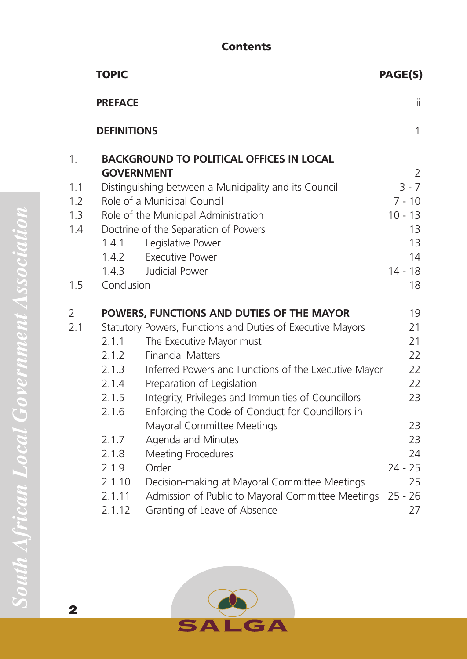### **Contents**

|                         | <b>TOPIC</b>                                                   |                                                                                                                                                                                                                                                                                                              | <b>PAGE(S)</b>                                       |
|-------------------------|----------------------------------------------------------------|--------------------------------------------------------------------------------------------------------------------------------------------------------------------------------------------------------------------------------------------------------------------------------------------------------------|------------------------------------------------------|
|                         | <b>PREFACE</b>                                                 |                                                                                                                                                                                                                                                                                                              | ii.                                                  |
|                         | <b>DEFINITIONS</b>                                             |                                                                                                                                                                                                                                                                                                              | $\mathbf{1}$                                         |
| 1.<br>1.1<br>1.2<br>1.3 | <b>GOVERNMENT</b>                                              | <b>BACKGROUND TO POLITICAL OFFICES IN LOCAL</b><br>Distinguishing between a Municipality and its Council<br>Role of a Municipal Council<br>Role of the Municipal Administration                                                                                                                              | $\overline{2}$<br>$3 - 7$<br>$7 - 10$<br>$10 - 13$   |
| 1.4                     | 1.4.1<br>1.4.2<br>1.4.3                                        | Doctrine of the Separation of Powers<br>Legislative Power<br><b>Executive Power</b><br>Judicial Power                                                                                                                                                                                                        | 13<br>13<br>14<br>$14 - 18$                          |
| 1.5                     | Conclusion                                                     |                                                                                                                                                                                                                                                                                                              | 18                                                   |
| 2<br>2.1                | 2.1.1<br>2.1.2<br>2.1.3<br>2.1.4<br>2.1.5                      | POWERS, FUNCTIONS AND DUTIES OF THE MAYOR<br>Statutory Powers, Functions and Duties of Executive Mayors<br>The Executive Mayor must<br><b>Financial Matters</b><br>Inferred Powers and Functions of the Executive Mayor<br>Preparation of Legislation<br>Integrity, Privileges and Immunities of Councillors | 19<br>21<br>21<br>22<br>22<br>22<br>23               |
|                         | 2.1.6<br>2.1.7<br>2.1.8<br>2.1.9<br>2.1.10<br>2.1.11<br>2.1.12 | Enforcing the Code of Conduct for Councillors in<br>Mayoral Committee Meetings<br>Agenda and Minutes<br>Meeting Procedures<br>Order<br>Decision-making at Mayoral Committee Meetings<br>Admission of Public to Mayoral Committee Meetings<br>Granting of Leave of Absence                                    | 23<br>23<br>24<br>$24 - 25$<br>25<br>$25 - 26$<br>27 |

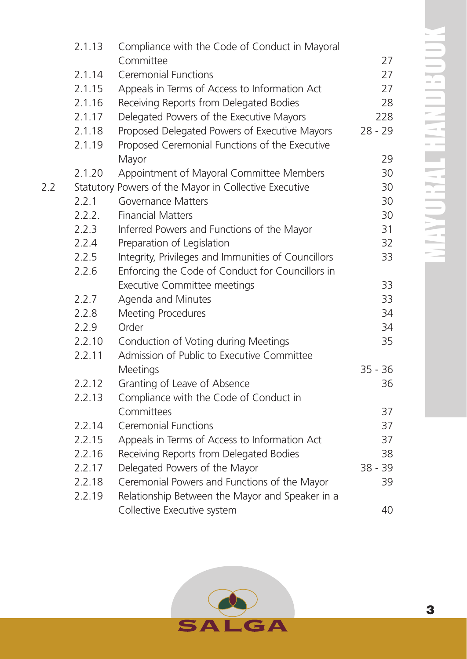|     | 2.1.13 | Compliance with the Code of Conduct in Mayoral        |           |
|-----|--------|-------------------------------------------------------|-----------|
|     |        | Committee                                             | 27        |
|     | 2.1.14 | <b>Ceremonial Functions</b>                           | 27        |
|     | 2.1.15 | Appeals in Terms of Access to Information Act         | 27        |
|     | 2.1.16 | Receiving Reports from Delegated Bodies               | 28        |
|     | 2.1.17 | Delegated Powers of the Executive Mayors              | 228       |
|     | 2.1.18 | Proposed Delegated Powers of Executive Mayors         | $28 - 29$ |
|     | 2.1.19 | Proposed Ceremonial Functions of the Executive        |           |
|     |        | Mayor                                                 | 29        |
|     | 2.1.20 | Appointment of Mayoral Committee Members              | 30        |
| 2.2 |        | Statutory Powers of the Mayor in Collective Executive | 30        |
|     | 2.2.1  | <b>Governance Matters</b>                             | 30        |
|     | 2.2.2. | <b>Financial Matters</b>                              | 30        |
|     | 2.2.3  | Inferred Powers and Functions of the Mayor            | 31        |
|     | 2.2.4  | Preparation of Legislation                            | 32        |
|     | 2.2.5  | Integrity, Privileges and Immunities of Councillors   | 33        |
|     | 2.2.6  | Enforcing the Code of Conduct for Councillors in      |           |
|     |        | <b>Executive Committee meetings</b>                   | 33        |
|     | 2.2.7  | Agenda and Minutes                                    | 33        |
|     | 2.2.8  | Meeting Procedures                                    | 34        |
|     | 2.2.9  | Order                                                 | 34        |
|     | 2.2.10 | Conduction of Voting during Meetings                  | 35        |
|     | 2.2.11 | Admission of Public to Executive Committee            |           |
|     |        | Meetings                                              | $35 - 36$ |
|     | 2.2.12 | Granting of Leave of Absence                          | 36        |
|     | 2.2.13 | Compliance with the Code of Conduct in                |           |
|     |        | Committees                                            | 37        |
|     | 2.2.14 | <b>Ceremonial Functions</b>                           | 37        |
|     | 2.2.15 | Appeals in Terms of Access to Information Act         | 37        |
|     | 2.2.16 | Receiving Reports from Delegated Bodies               | 38        |
|     | 2.2.17 | Delegated Powers of the Mayor                         | $38 - 39$ |
|     | 2.2.18 | Ceremonial Powers and Functions of the Mayor          | 39        |
|     | 2.2.19 | Relationship Between the Mayor and Speaker in a       |           |
|     |        | Collective Executive system                           | 40        |
|     |        |                                                       |           |



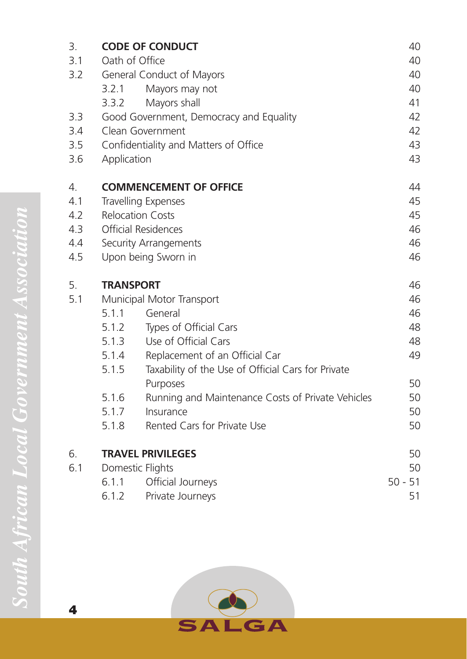| 3.<br>3.1<br>3.2                      | Oath of Office<br>3.2.1<br>3.3.2                                                                                                                                     | <b>CODE OF CONDUCT</b><br><b>General Conduct of Mayors</b><br>Mayors may not<br>Mayors shall                                                                                                                                                                                                | 40<br>40<br>40<br>40<br>41                               |
|---------------------------------------|----------------------------------------------------------------------------------------------------------------------------------------------------------------------|---------------------------------------------------------------------------------------------------------------------------------------------------------------------------------------------------------------------------------------------------------------------------------------------|----------------------------------------------------------|
| 3.3<br>3.4<br>3.5<br>3.6              | Application                                                                                                                                                          | Good Government, Democracy and Equality<br>Clean Government<br>Confidentiality and Matters of Office                                                                                                                                                                                        | 42<br>42<br>43<br>43                                     |
| 4.<br>4.1<br>4.2<br>4.3<br>4.4<br>4.5 | <b>COMMENCEMENT OF OFFICE</b><br>Travelling Expenses<br><b>Relocation Costs</b><br><b>Official Residences</b><br><b>Security Arrangements</b><br>Upon being Sworn in |                                                                                                                                                                                                                                                                                             | 44<br>45<br>45<br>46<br>46<br>46                         |
| 5.<br>5.1                             | <b>TRANSPORT</b><br>5.1.1<br>5.1.2<br>5.1.3<br>5.1.4<br>5.1.5<br>5.1.6<br>5.1.7<br>5.1.8                                                                             | Municipal Motor Transport<br>General<br>Types of Official Cars<br>Use of Official Cars<br>Replacement of an Official Car<br>Taxability of the Use of Official Cars for Private<br>Purposes<br>Running and Maintenance Costs of Private Vehicles<br>Insurance<br>Rented Cars for Private Use | 46<br>46<br>46<br>48<br>48<br>49<br>50<br>50<br>50<br>50 |
| 6.<br>6.1                             | Domestic Flights<br>6.1.1<br>6.1.2                                                                                                                                   | <b>TRAVEL PRIVILEGES</b><br>Official Journeys<br>Private Journeys                                                                                                                                                                                                                           | 50<br>50<br>$50 - 51$<br>51                              |

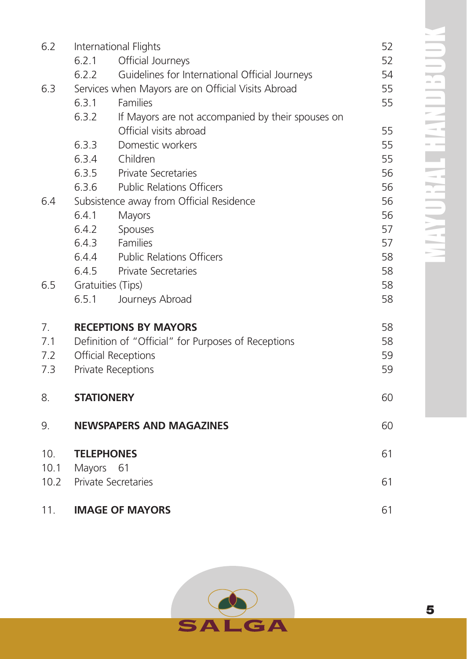| 6.2                     | 6.2.1                                                                                                                                  | International Flights<br>Official Journeys                                                                                                                                                                              | 52<br>52                         |
|-------------------------|----------------------------------------------------------------------------------------------------------------------------------------|-------------------------------------------------------------------------------------------------------------------------------------------------------------------------------------------------------------------------|----------------------------------|
| 6.3                     | 6.2.2<br>6.3.1                                                                                                                         | Guidelines for International Official Journeys<br>Services when Mayors are on Official Visits Abroad<br>Families                                                                                                        | 54<br>55<br>55                   |
| 6.4                     | 6.3.2<br>6.3.3<br>6.3.4                                                                                                                | If Mayors are not accompanied by their spouses on<br>Official visits abroad<br>Domestic workers<br>Children<br>6.3.5 Private Secretaries<br>6.3.6 Public Relations Officers<br>Subsistence away from Official Residence | 55<br>55<br>55<br>56<br>56<br>56 |
|                         | 6.4.1<br>6.4.2                                                                                                                         | Mayors<br>Spouses<br>6.4.3 Families<br>6.4.4 Public Relations Officers<br>6.4.5 Private Secretaries                                                                                                                     | 56<br>57<br>57<br>58<br>58       |
| 6.5                     | 6.5.1                                                                                                                                  | Gratuities (Tips)<br>Journeys Abroad                                                                                                                                                                                    | 58<br>58                         |
| 7.<br>7.1<br>7.2<br>7.3 | <b>RECEPTIONS BY MAYORS</b><br>Definition of "Official" for Purposes of Receptions<br><b>Official Receptions</b><br>Private Receptions |                                                                                                                                                                                                                         | 58<br>58<br>59<br>59             |
| 8.                      | <b>STATIONERY</b>                                                                                                                      |                                                                                                                                                                                                                         | 60                               |
| 9.                      | <b>NEWSPAPERS AND MAGAZINES</b>                                                                                                        |                                                                                                                                                                                                                         | 60                               |
| 10.<br>10.2             | <b>TELEPHONES</b><br>10.1 Mayors 61                                                                                                    | Private Secretaries                                                                                                                                                                                                     | 61<br>61                         |
| 11.                     |                                                                                                                                        | <b>IMAGE OF MAYORS</b>                                                                                                                                                                                                  | 61                               |

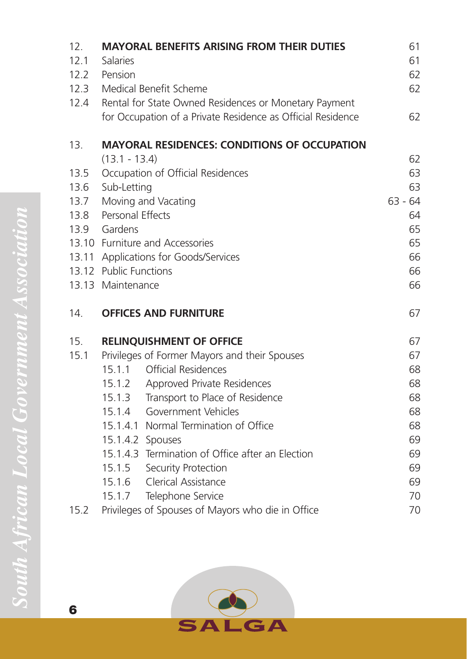| 12.<br>12.1<br>12.3<br>12.4 | <b>MAYORAL BENEFITS ARISING FROM THEIR DUTIES</b><br>Salaries<br>12.2 Pension<br>Medical Benefit Scheme<br>Rental for State Owned Residences or Monetary Payment<br>for Occupation of a Private Residence as Official Residence | 61<br>61<br>62<br>62<br>62 |  |
|-----------------------------|---------------------------------------------------------------------------------------------------------------------------------------------------------------------------------------------------------------------------------|----------------------------|--|
| 13.                         | <b>MAYORAL RESIDENCES: CONDITIONS OF OCCUPATION</b>                                                                                                                                                                             |                            |  |
|                             | $(13.1 - 13.4)$                                                                                                                                                                                                                 | 62                         |  |
| 13.5                        | Occupation of Official Residences                                                                                                                                                                                               | 63<br>63                   |  |
| 13.6                        | Sub-Letting                                                                                                                                                                                                                     |                            |  |
| 13.7                        | Moving and Vacating                                                                                                                                                                                                             | $63 - 64$                  |  |
|                             | 13.8 Personal Effects                                                                                                                                                                                                           | 64                         |  |
|                             | 13.9 Gardens<br>13.10 Furniture and Accessories                                                                                                                                                                                 | 65<br>65                   |  |
|                             | 13.11 Applications for Goods/Services                                                                                                                                                                                           | 66                         |  |
|                             | 13.12 Public Functions                                                                                                                                                                                                          | 66                         |  |
|                             | 13.13 Maintenance                                                                                                                                                                                                               | 66                         |  |
|                             |                                                                                                                                                                                                                                 |                            |  |
| 14.                         | <b>OFFICES AND FURNITURE</b>                                                                                                                                                                                                    | 67                         |  |
| 15.                         | <b>RELINQUISHMENT OF OFFICE</b>                                                                                                                                                                                                 | 67                         |  |
| 15.1                        | Privileges of Former Mayors and their Spouses                                                                                                                                                                                   | 67                         |  |
|                             | 15.1.1<br><b>Official Residences</b>                                                                                                                                                                                            | 68                         |  |
|                             | 15.1.2 Approved Private Residences                                                                                                                                                                                              | 68                         |  |
|                             | 15.1.3 Transport to Place of Residence                                                                                                                                                                                          | 68                         |  |
|                             | 15.1.4<br>Government Vehicles                                                                                                                                                                                                   | 68                         |  |
|                             | 15.1.4.1 Normal Termination of Office                                                                                                                                                                                           | 68<br>69                   |  |
|                             | 15.1.4.2 Spouses<br>15.1.4.3 Termination of Office after an Election                                                                                                                                                            | 69                         |  |
|                             | 15.1.5<br>Security Protection                                                                                                                                                                                                   | 69                         |  |
|                             | Clerical Assistance<br>15.1.6                                                                                                                                                                                                   | 69                         |  |
|                             | 15.1.7<br>Telephone Service                                                                                                                                                                                                     | 70                         |  |
| 15.2                        | Privileges of Spouses of Mayors who die in Office                                                                                                                                                                               | 70                         |  |

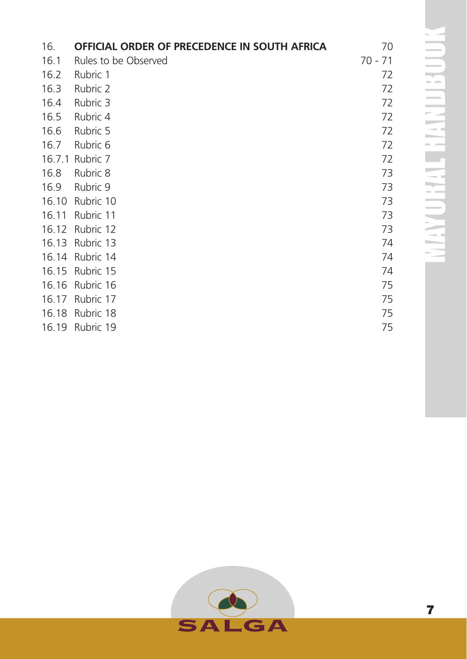| 16.   | OFFICIAL ORDER OF PRECEDENCE IN SOUTH AFRICA | 70        |
|-------|----------------------------------------------|-----------|
| 16.1  | Rules to be Observed                         | $70 - 71$ |
| 16.2  | Rubric 1                                     | 72        |
| 16.3  | Rubric 2                                     | 72        |
| 16.4  | Rubric 3                                     | 72        |
| 16.5  | Rubric 4                                     | 72        |
| 16.6  | Rubric 5                                     | 72        |
| 16.7  | Rubric 6                                     | 72        |
|       | 16.7.1 Rubric 7                              | 72        |
| 16.8  | Rubric 8                                     | 73        |
| 16.9  | Rubric 9                                     | 73        |
|       | 16.10 Rubric 10                              | 73        |
| 16.11 | Rubric 11                                    | 73        |
|       | 16.12 Rubric 12                              | 73        |
|       | 16.13 Rubric 13                              | 74        |
|       | 16.14 Rubric 14                              | 74        |
|       | 16.15 Rubric 15                              | 74        |
|       | 16.16 Rubric 16                              | 75        |
| 16.17 | Rubric 17                                    | 75        |
|       | 16.18 Rubric 18                              | 75        |
|       | 16.19 Rubric 19                              | 75        |

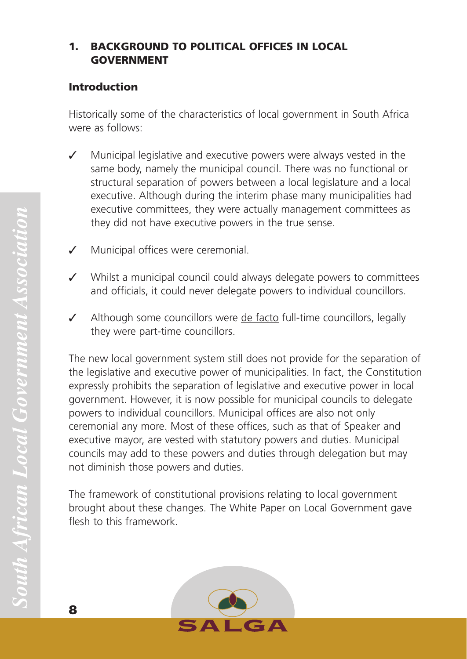### **1. BACKGROUND TO POLITICAL OFFICES IN LOCAL GOVERNMENT**

#### **Introduction**

Historically some of the characteristics of local government in South Africa were as follows:

- ✓ Municipal legislative and executive powers were always vested in the same body, namely the municipal council. There was no functional or structural separation of powers between a local legislature and a local executive. Although during the interim phase many municipalities had executive committees, they were actually management committees as they did not have executive powers in the true sense.
- ✓ Municipal offices were ceremonial.
- ✓ Whilst a municipal council could always delegate powers to committees and officials, it could never delegate powers to individual councillors.
- ✓ Although some councillors were de facto full-time councillors, legally they were part-time councillors.

The new local government system still does not provide for the separation of the legislative and executive power of municipalities. In fact, the Constitution expressly prohibits the separation of legislative and executive power in local government. However, it is now possible for municipal councils to delegate powers to individual councillors. Municipal offices are also not only ceremonial any more. Most of these offices, such as that of Speaker and executive mayor, are vested with statutory powers and duties. Municipal councils may add to these powers and duties through delegation but may not diminish those powers and duties.

The framework of constitutional provisions relating to local government brought about these changes. The White Paper on Local Government gave flesh to this framework.

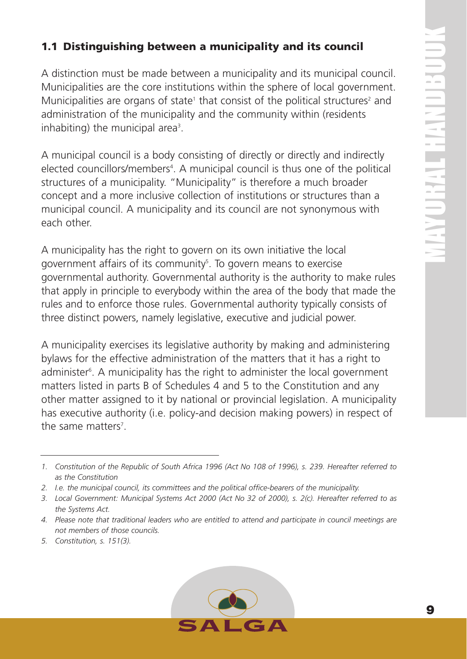### **1.1 Distinguishing between a municipality and its council**

A distinction must be made between a municipality and its municipal council. Municipalities are the core institutions within the sphere of local government. Municipalities are organs of state<sup>1</sup> that consist of the political structures<sup>2</sup> and administration of the municipality and the community within (residents inhabiting) the municipal area 3 .

A municipal council is a body consisting of directly or directly and indirectly elected councillors/members 4 . A municipal council is thus one of the political structures of a municipality. "Municipality" is therefore a much broader concept and a more inclusive collection of institutions or structures than a municipal council. A municipality and its council are not synonymous with each other.

A municipality has the right to govern on its own initiative the local government affairs of its community 5 . To govern means to exercise governmental authority. Governmental authority is the authority to make rules that apply in principle to everybody within the area of the body that made the rules and to enforce those rules. Governmental authority typically consists of three distinct powers, namely legislative, executive and judicial power.

A municipality exercises its legislative authority by making and administering bylaws for the effective administration of the matters that it has a right to administer 6 . A municipality has the right to administer the local government matters listed in parts B of Schedules 4 and 5 to the Constitution and any other matter assigned to it by national or provincial legislation. A municipality has executive authority (i.e. policy-and decision making powers) in respect of the same matters<sup>7</sup>.



*<sup>1.</sup> Constitution of the Republic of South Africa 1996 (Act No 108 of 1996), s. 239. Hereafter referred to as the Constitution*

*<sup>2.</sup> I.e. the municipal council, its committees and the political office-bearers of the municipality.* 

*<sup>3.</sup> Local Government: Municipal Systems Act 2000 (Act No 32 of 2000), s. 2(c). Hereafter referred to as the Systems Act.* 

*<sup>4.</sup> Please note that traditional leaders who are entitled to attend and participate in council meetings are not members of those councils.* 

*<sup>5.</sup> Constitution, s. 151(3).*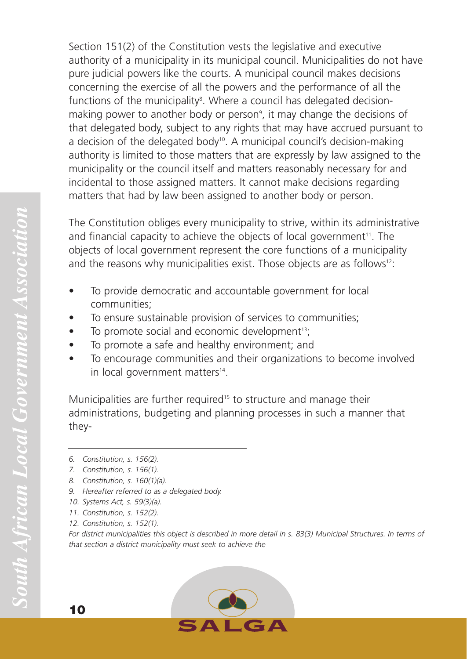Section 151(2) of the Constitution vests the legislative and executive authority of a municipality in its municipal council. Municipalities do not have pure judicial powers like the courts. A municipal council makes decisions concerning the exercise of all the powers and the performance of all the functions of the municipality<sup>8</sup>. Where a council has delegated decisionmaking power to another body or person<sup>9</sup>, it may change the decisions of that delegated body, subject to any rights that may have accrued pursuant to a decision of the delegated body<sup>10</sup>. A municipal council's decision-making authority is limited to those matters that are expressly by law assigned to the municipality or the council itself and matters reasonably necessary for and incidental to those assigned matters. It cannot make decisions regarding matters that had by law been assigned to another body or person.

The Constitution obliges every municipality to strive, within its administrative and financial capacity to achieve the objects of local government<sup>11</sup>. The objects of local government represent the core functions of a municipality and the reasons why municipalities exist. Those objects are as follows<sup>12</sup>:

- To provide democratic and accountable government for local communities;
- To ensure sustainable provision of services to communities;
- $\bullet$  To promote social and economic development<sup>13</sup>;
- To promote a safe and healthy environment; and
- To encourage communities and their organizations to become involved in local government matters<sup>14</sup>.

Municipalities are further required<sup>15</sup> to structure and manage their administrations, budgeting and planning processes in such a manner that they-

- *6. Constitution, s. 156(2).*
- *7. Constitution, s. 156(1).*
- *8. Constitution, s. 160(1)(a).*
- *9. Hereafter referred to as a delegated body.*
- *10. Systems Act, s. 59(3)(a).*
- *11. Constitution, s. 152(2).*
- *12. Constitution, s. 152(1).*

**10**

*For district municipalities this object is described in more detail in s. 83(3) Municipal Structures. In terms of that section a district municipality must seek to achieve the*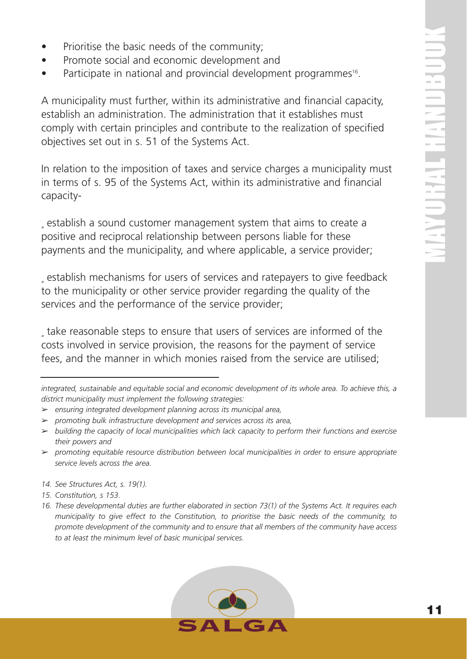- Prioritise the basic needs of the community;
- P romote social and economic development and
- Participate in national and provincial development programmes<sup>16</sup>.

A municipality must further, within its administrative and financial capacity, establish an administration. The administration that it establishes must comply with certain principles and contribute to the realization of specified objectives set out in s. 51 of the Systems Act.

In relation to the imposition of taxes and service charges a municipality must in terms of s. 95 of the Systems Act, within its administrative and financial capacity-

¸ establish a sound customer management system that aims to create a positive and reciprocal relationship between persons liable for these payments and the municipality, and where applicable, a service provider;

¸ establish mechanisms for users of services and ratepayers to give feedback to the municipality or other service provider regarding the quality of the services and the performance of the service provider;

¸ take reasonable steps to ensure that users of services are informed of the costs involved in service provision, the reasons for the payment of service fees, and the manner in which monies raised from the service are utilised;

- ➢ *ensuring integrated development planning across its municipal area,*
- ➢ *promoting bulk infrastructure development and services across its area,*

*14. See Structures Act, s. 19(1).* 

*<sup>16.</sup> These developmental duties are further elaborated in section 73(1) of the Systems Act. It requires each municipality to give effect to the Constitution, to prioritise the basic needs of the community, to promote development of the community and to ensure that all members of the community have access to at least the minimum level of basic municipal services.*



*integrated, sustainable and equitable social and economic development of its whole area. To achieve this, a district municipality must implement the following strategies:* 

<sup>➢</sup> *building the capacity of local municipalities which lack capacity to perform their functions and exercise their powers and* 

<sup>➢</sup> *promoting equitable resource distribution between local municipalities in order to ensure appropriate service levels across the area.* 

*<sup>15.</sup> Constitution, s 153.*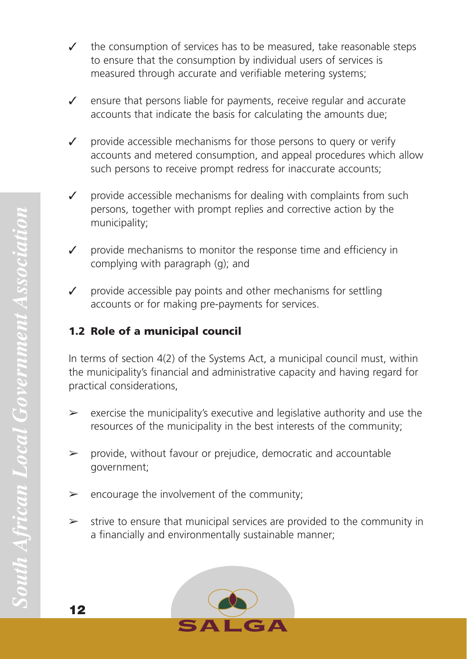- $\checkmark$  the consumption of services has to be measured, take reasonable steps to ensure that the consumption by individual users of services is measured through accurate and verifiable metering systems;
- $\checkmark$  ensure that persons liable for payments, receive regular and accurate accounts that indicate the basis for calculating the amounts due;
- $\checkmark$  provide accessible mechanisms for those persons to query or verify accounts and metered consumption, and appeal procedures which allow such persons to receive prompt redress for inaccurate accounts;
- $\checkmark$  provide accessible mechanisms for dealing with complaints from such persons, together with prompt replies and corrective action by the municipality;
- $\checkmark$  provide mechanisms to monitor the response time and efficiency in complying with paragraph (g); and
- $\checkmark$  provide accessible pay points and other mechanisms for settling accounts or for making pre-payments for services.

# **1.2 Role of a municipal council**

In terms of section 4(2) of the Systems Act, a municipal council must, within the municipality's financial and administrative capacity and having regard for practical considerations,

- $\triangleright$  exercise the municipality's executive and legislative authority and use the resources of the municipality in the best interests of the community;
- $\geq$  provide, without favour or prejudice, democratic and accountable government;
- $\triangleright$  encourage the involvement of the community:
- $\geq$  strive to ensure that municipal services are provided to the community in a financially and environmentally sustainable manner;

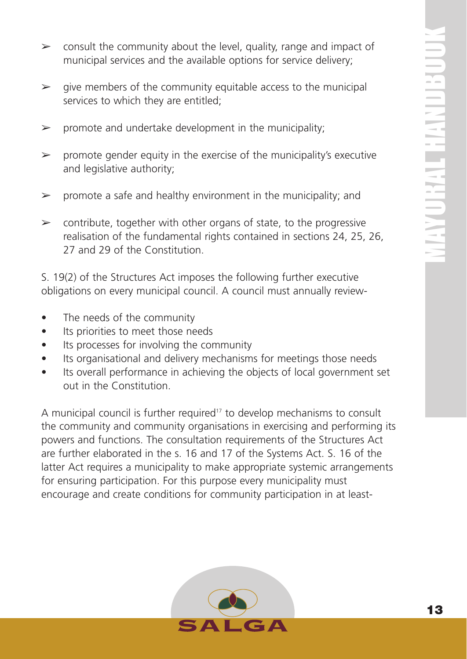- $\geq$  consult the community about the level, quality, range and impact of municipal services and the available options for service delivery;
- $\geq$  give members of the community equitable access to the municipal services to which they are entitled;
- $\triangleright$  promote and undertake development in the municipality;
- $\ge$  promote gender equity in the exercise of the municipality's executive and legislative authority;
- $\geq$  promote a safe and healthy environment in the municipality; and
- $\geq$  contribute, together with other organs of state, to the progressive realisation of the fundamental rights contained in sections 24, 25, 26, 27 and 29 of the Constitution.

S. 19(2) of the Structures Act imposes the following further executive obligations on every municipal council. A council must annually review-

- The needs of the community
- Its priorities to meet those needs
- Its processes for involving the community
- Its organisational and delivery mechanisms for meetings those needs
- Its overall performance in achieving the objects of local government set out in the Constitution.

A municipal council is further required<sup>17</sup> to develop mechanisms to consult the community and community organisations in exercising and performing its powers and functions. The consultation requirements of the Structures Act are further elaborated in the s. 16 and 17 of the Systems Act. S. 16 of the latter Act requires a municipality to make appropriate systemic arrangements for ensuring participation. For this purpose every municipality must encourage and create conditions for community participation in at least-

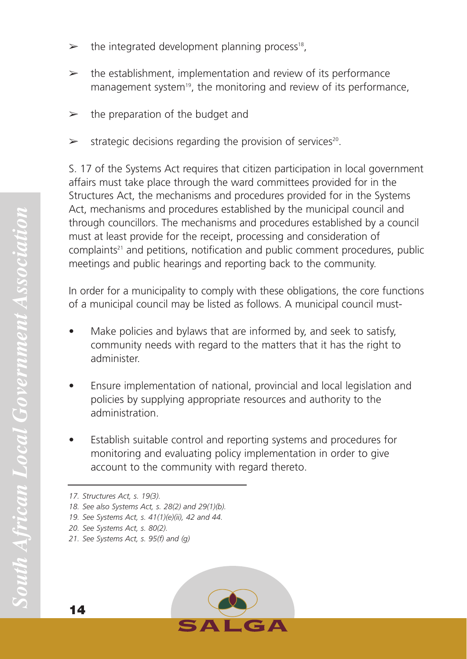- $\geq$  the integrated development planning process<sup>18</sup>,
- $\geq$  the establishment, implementation and review of its performance management system<sup>19</sup>, the monitoring and review of its performance,
- $\geq$  the preparation of the budget and
- $\triangleright$  strategic decisions regarding the provision of services<sup>20</sup>.

S. 17 of the Systems Act requires that citizen participation in local government affairs must take place through the ward committees provided for in the Structures Act, the mechanisms and procedures provided for in the Systems Act, mechanisms and procedures established by the municipal council and through councillors. The mechanisms and procedures established by a council must at least provide for the receipt, processing and consideration of complaints21 and petitions, notification and public comment procedures, public meetings and public hearings and reporting back to the community.

In order for a municipality to comply with these obligations, the core functions of a municipal council may be listed as follows. A municipal council must-

- Make policies and bylaws that are informed by, and seek to satisfy, community needs with regard to the matters that it has the right to administer.
- Ensure implementation of national, provincial and local legislation and policies by supplying appropriate resources and authority to the administration.
- Establish suitable control and reporting systems and procedures for monitoring and evaluating policy implementation in order to give account to the community with regard thereto.

*<sup>17.</sup> Structures Act, s. 19(3).* 

*<sup>18.</sup> See also Systems Act, s. 28(2) and 29(1)(b).* 

*<sup>19.</sup> See Systems Act, s. 41(1)(e)(ii), 42 and 44.*

*<sup>20.</sup> See Systems Act, s. 80(2).*

*<sup>21.</sup> See Systems Act, s. 95(f) and (g)*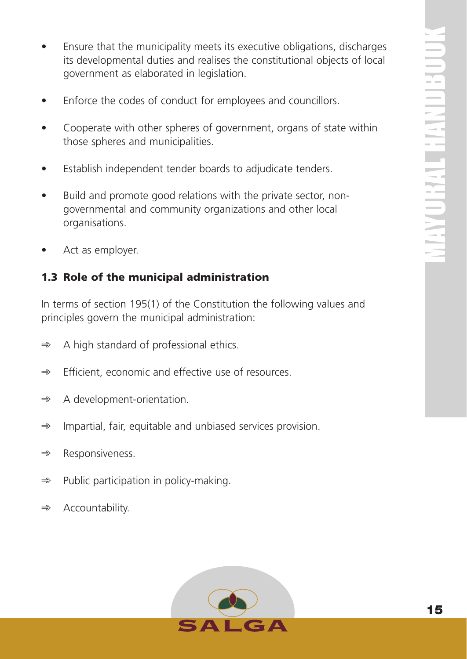- Ensure that the municipality meets its executive obligations, discharges its developmental duties and realises the constitutional objects of local government as elaborated in legislation.
- Enforce the codes of conduct for employees and councillors.
- Cooperate with other spheres of government, organs of state within those spheres and municipalities.
- Establish independent tender boards to adjudicate tenders.
- Build and promote good relations with the private sector, nongovernmental and community organizations and other local organisations.
- Act as employer.

# **1.3 Role of the municipal administration**

In terms of section 195(1) of the Constitution the following values and principles govern the municipal administration:

- $\Rightarrow$  A high standard of professional ethics.
- $\Rightarrow$  Efficient, economic and effective use of resources.
- $\Rightarrow$  A development-orientation.
- $\Rightarrow$  Impartial, fair, equitable and unbiased services provision.
- $\Rightarrow$  Responsiveness.
- $\Rightarrow$  Public participation in policy-making.
- $\Rightarrow$  Accountability.

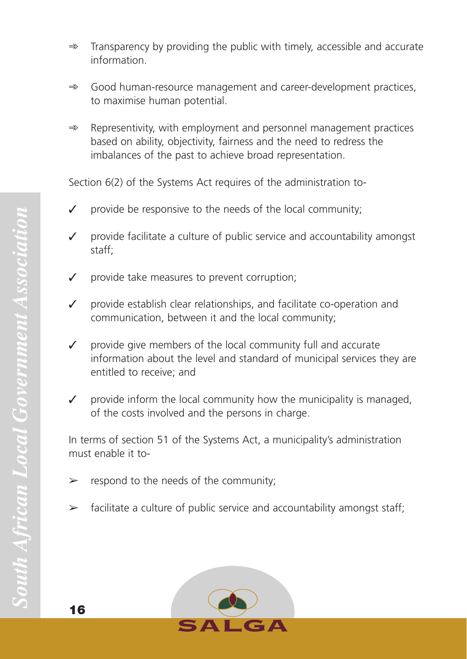- $\Rightarrow$  Transparency by providing the public with timely, accessible and accurate information.
- $\Rightarrow$  Good human-resource management and career-development practices, to maximise human potential.
- $\Rightarrow$  Representivity, with employment and personnel management practices based on ability, objectivity, fairness and the need to redress the imbalances of the past to achieve broad representation.

Section 6(2) of the Systems Act requires of the administration to-

- ✓ provide be responsive to the needs of the local community;
- ✓ provide facilitate a culture of public service and accountability amongst staff;
- ✓ provide take measures to prevent corruption;
- ✓ provide establish clear relationships, and facilitate co-operation and communication, between it and the local community;
- ✓ provide give members of the local community full and accurate information about the level and standard of municipal services they are entitled to receive; and
- $\checkmark$  provide inform the local community how the municipality is managed, of the costs involved and the persons in charge.

In terms of section 51 of the Systems Act, a municipality's administration must enable it to-

- $\triangleright$  respond to the needs of the community;
- $\triangleright$  facilitate a culture of public service and accountability amongst staff;

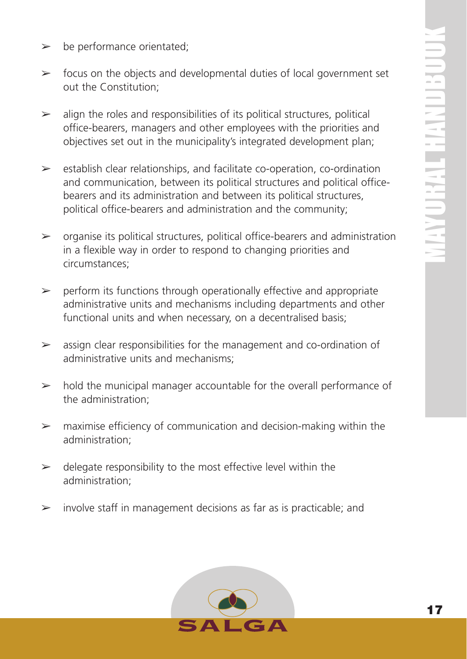- $\triangleright$  be performance orientated;
- $\geq$  focus on the objects and developmental duties of local government set out the Constitution;
- $\geq$  align the roles and responsibilities of its political structures, political office-bearers, managers and other employees with the priorities and objectives set out in the municipality's integrated development plan;
- $\geq$  establish clear relationships, and facilitate co-operation, co-ordination and communication, between its political structures and political officebearers and its administration and between its political structures, political office-bearers and administration and the community;
- $\geq$  organise its political structures, political office-bearers and administration in a flexible way in order to respond to changing priorities and circumstances;
- $\geq$  perform its functions through operationally effective and appropriate administrative units and mechanisms including departments and other functional units and when necessary, on a decentralised basis;
- $\geq$  assign clear responsibilities for the management and co-ordination of administrative units and mechanisms;
- $\geq$  hold the municipal manager accountable for the overall performance of the administration;
- $\geq$  maximise efficiency of communication and decision-making within the administration;
- $\triangleright$  delegate responsibility to the most effective level within the administration;
- $\geq$  involve staff in management decisions as far as is practicable; and

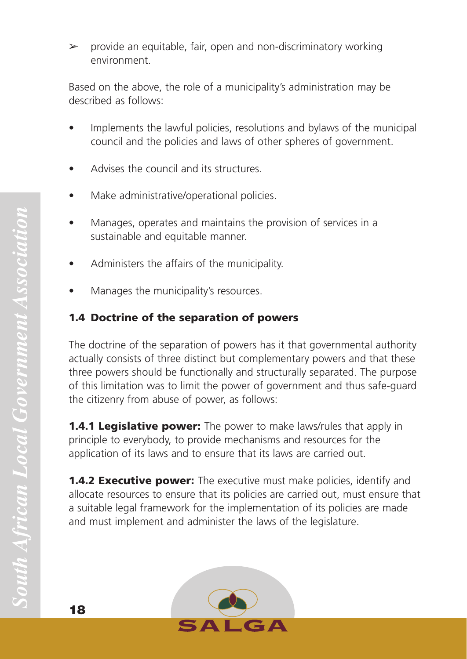$\triangleright$  provide an equitable, fair, open and non-discriminatory working environment.

Based on the above, the role of a municipality's administration may be described as follows:

- Implements the lawful policies, resolutions and bylaws of the municipal council and the policies and laws of other spheres of government.
- Advises the council and its structures.
- Make administrative/operational policies.
- Manages, operates and maintains the provision of services in a sustainable and equitable manner.
- Administers the affairs of the municipality.
- Manages the municipality's resources.

# **1.4 Doctrine of the separation of powers**

The doctrine of the separation of powers has it that governmental authority actually consists of three distinct but complementary powers and that these three powers should be functionally and structurally separated. The purpose of this limitation was to limit the power of government and thus safe-guard the citizenry from abuse of power, as follows:

**1.4.1 Legislative power:** The power to make laws/rules that apply in principle to everybody, to provide mechanisms and resources for the application of its laws and to ensure that its laws are carried out.

**1.4.2 Executive power:** The executive must make policies, identify and allocate resources to ensure that its policies are carried out, must ensure that a suitable legal framework for the implementation of its policies are made and must implement and administer the laws of the legislature.

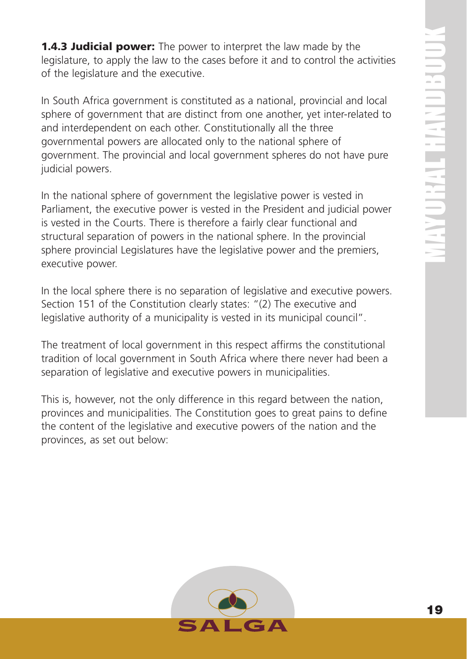**1.4.3 Judicial power:** The power to interpret the law made by the legislature, to apply the law to the cases before it and to control the activities of the legislature and the executive.

In South Africa government is constituted as a national, provincial and local sphere of government that are distinct from one another, yet inter-related to and interdependent on each other. Constitutionally all the three governmental powers are allocated only to the national sphere of government. The provincial and local government spheres do not have pure judicial powers.

In the national sphere of government the legislative power is vested in Parliament, the executive power is vested in the President and judicial power is vested in the Courts. There is therefore a fairly clear functional and structural separation of powers in the national sphere. In the provincial sphere provincial Legislatures have the legislative power and the premiers, executive power.

In the local sphere there is no separation of legislative and executive powers. Section 151 of the Constitution clearly states: "(2) The executive and legislative authority of a municipality is vested in its municipal council".

The treatment of local government in this respect affirms the constitutional tradition of local government in South Africa where there never had been a separation of legislative and executive powers in municipalities.

This is, however, not the only difference in this regard between the nation, provinces and municipalities. The Constitution goes to great pains to define the content of the legislative and executive powers of the nation and the provinces, as set out below:

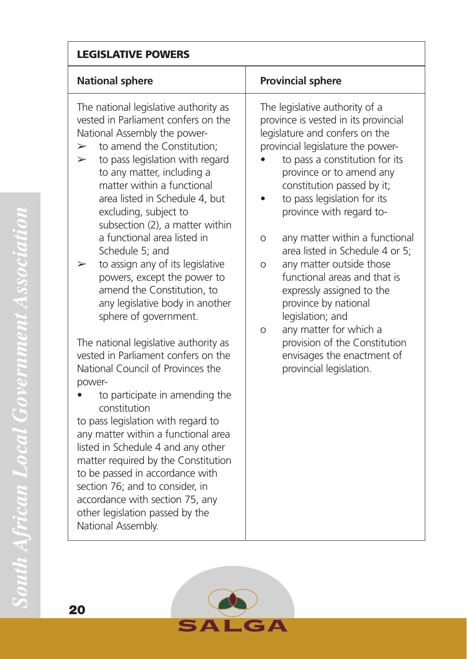| <b>LEGISLATIVE POWERS</b>                                                                                                                                                                                                                                                                                                                                                                                                                                                                                                                                                                                                                                                                                                                                                                                                                                                                                                                                                                                                                                                                              |                                                                                                                                                                                                                                                                                                                                                                                                                                                                                                                                                                                                                                                   |  |  |
|--------------------------------------------------------------------------------------------------------------------------------------------------------------------------------------------------------------------------------------------------------------------------------------------------------------------------------------------------------------------------------------------------------------------------------------------------------------------------------------------------------------------------------------------------------------------------------------------------------------------------------------------------------------------------------------------------------------------------------------------------------------------------------------------------------------------------------------------------------------------------------------------------------------------------------------------------------------------------------------------------------------------------------------------------------------------------------------------------------|---------------------------------------------------------------------------------------------------------------------------------------------------------------------------------------------------------------------------------------------------------------------------------------------------------------------------------------------------------------------------------------------------------------------------------------------------------------------------------------------------------------------------------------------------------------------------------------------------------------------------------------------------|--|--|
| <b>National sphere</b>                                                                                                                                                                                                                                                                                                                                                                                                                                                                                                                                                                                                                                                                                                                                                                                                                                                                                                                                                                                                                                                                                 | <b>Provincial sphere</b>                                                                                                                                                                                                                                                                                                                                                                                                                                                                                                                                                                                                                          |  |  |
| The national legislative authority as<br>vested in Parliament confers on the<br>National Assembly the power-<br>to amend the Constitution;<br>➤<br>to pass legislation with regard<br>$\blacktriangleright$<br>to any matter, including a<br>matter within a functional<br>area listed in Schedule 4, but<br>excluding, subject to<br>subsection (2), a matter within<br>a functional area listed in<br>Schedule 5; and<br>to assign any of its legislative<br>➤<br>powers, except the power to<br>amend the Constitution, to<br>any legislative body in another<br>sphere of government.<br>The national legislative authority as<br>vested in Parliament confers on the<br>National Council of Provinces the<br>power-<br>to participate in amending the<br>constitution<br>to pass legislation with regard to<br>any matter within a functional area<br>listed in Schedule 4 and any other<br>matter required by the Constitution<br>to be passed in accordance with<br>section 76; and to consider, in<br>accordance with section 75, any<br>other legislation passed by the<br>National Assembly. | The legislative authority of a<br>province is vested in its provincial<br>legislature and confers on the<br>provincial legislature the power-<br>to pass a constitution for its<br>province or to amend any<br>constitution passed by it;<br>to pass legislation for its<br>province with regard to-<br>any matter within a functional<br>O<br>area listed in Schedule 4 or 5;<br>any matter outside those<br>O<br>functional areas and that is<br>expressly assigned to the<br>province by national<br>legislation; and<br>any matter for which a<br>O<br>provision of the Constitution<br>envisages the enactment of<br>provincial legislation. |  |  |

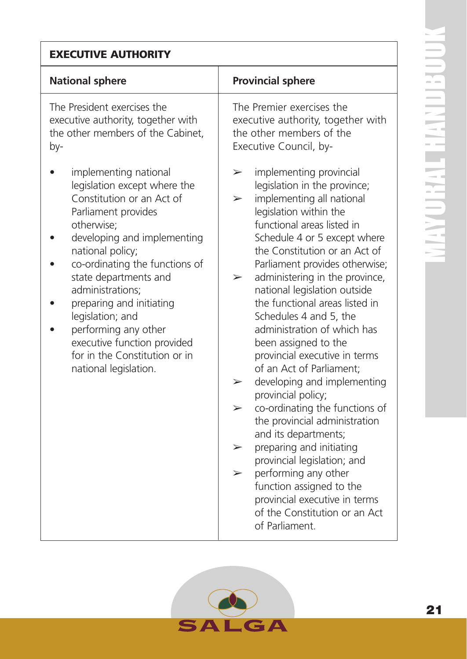| b.                                     |
|----------------------------------------|
| <b>Contract</b><br>$\equiv$            |
| 戸                                      |
| $\overline{\phantom{a}}$<br>Þ          |
| p.<br>$\equiv$<br>ı<br>m               |
| p.                                     |
| $\sim$<br>$\mathcal{L}$                |
| ш<br>P                                 |
| П                                      |
| $\sim$<br>п                            |
| <b>College</b><br><b>The Company</b>   |
|                                        |
| ı                                      |
| d<br><b>COLLEGE</b>                    |
| E<br>$\qquad \qquad \blacksquare$<br>ı |
| p.                                     |
| $\sim$<br>۰                            |
| m.<br>Þ                                |
| e.<br>Ì<br>۹                           |
| ı                                      |
| b.                                     |
|                                        |

# **EXECUTIVE AUTHORITY**

| <b>National sphere</b>                                                                                                                                                                                                                                                                                                                                                                                                     | <b>Provincial sphere</b>                                                                                                                                                                                                                                                                                                                                                                                                                                                                                                                                                                                                                                                                                                                                                                                                                                                                                                                                                                                                            |  |  |
|----------------------------------------------------------------------------------------------------------------------------------------------------------------------------------------------------------------------------------------------------------------------------------------------------------------------------------------------------------------------------------------------------------------------------|-------------------------------------------------------------------------------------------------------------------------------------------------------------------------------------------------------------------------------------------------------------------------------------------------------------------------------------------------------------------------------------------------------------------------------------------------------------------------------------------------------------------------------------------------------------------------------------------------------------------------------------------------------------------------------------------------------------------------------------------------------------------------------------------------------------------------------------------------------------------------------------------------------------------------------------------------------------------------------------------------------------------------------------|--|--|
| The President exercises the<br>executive authority, together with<br>the other members of the Cabinet,<br>by-                                                                                                                                                                                                                                                                                                              | The Premier exercises the<br>executive authority, together with<br>the other members of the<br>Executive Council, by-                                                                                                                                                                                                                                                                                                                                                                                                                                                                                                                                                                                                                                                                                                                                                                                                                                                                                                               |  |  |
| implementing national<br>legislation except where the<br>Constitution or an Act of<br>Parliament provides<br>otherwise;<br>developing and implementing<br>national policy;<br>co-ordinating the functions of<br>state departments and<br>administrations;<br>preparing and initiating<br>legislation; and<br>performing any other<br>executive function provided<br>for in the Constitution or in<br>national legislation. | implementing provincial<br>$\blacktriangleright$<br>legislation in the province;<br>implementing all national<br>$\blacktriangleright$<br>legislation within the<br>functional areas listed in<br>Schedule 4 or 5 except where<br>the Constitution or an Act of<br>Parliament provides otherwise;<br>administering in the province,<br>$\blacktriangleright$<br>national legislation outside<br>the functional areas listed in<br>Schedules 4 and 5, the<br>administration of which has<br>been assigned to the<br>provincial executive in terms<br>of an Act of Parliament:<br>developing and implementing<br>$\blacktriangleright$<br>provincial policy;<br>co-ordinating the functions of<br>$\blacktriangleright$<br>the provincial administration<br>and its departments;<br>preparing and initiating<br>$\blacktriangleright$<br>provincial legislation; and<br>performing any other<br>$\blacktriangleright$<br>function assigned to the<br>provincial executive in terms<br>of the Constitution or an Act<br>of Parliament. |  |  |

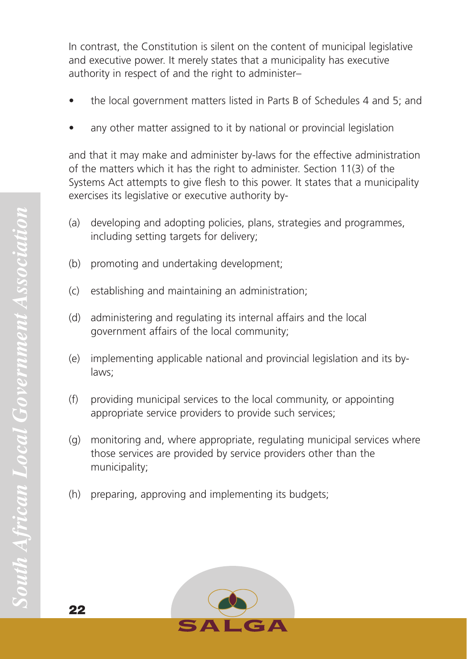In contrast, the Constitution is silent on the content of municipal legislative and executive power. It merely states that a municipality has executive authority in respect of and the right to administer–

- the local government matters listed in Parts B of Schedules 4 and 5; and
- any other matter assigned to it by national or provincial legislation

and that it may make and administer by-laws for the effective administration of the matters which it has the right to administer. Section 11(3) of the Systems Act attempts to give flesh to this power. It states that a municipality exercises its legislative or executive authority by-

- (a) developing and adopting policies, plans, strategies and programmes, including setting targets for delivery;
- (b) promoting and undertaking development;
- (c) establishing and maintaining an administration;
- (d) administering and regulating its internal affairs and the local government affairs of the local community;
- (e) implementing applicable national and provincial legislation and its bylaws;
- (f) providing municipal services to the local community, or appointing appropriate service providers to provide such services;
- (g) monitoring and, where appropriate, regulating municipal services where those services are provided by service providers other than the municipality;
- (h) preparing, approving and implementing its budgets;

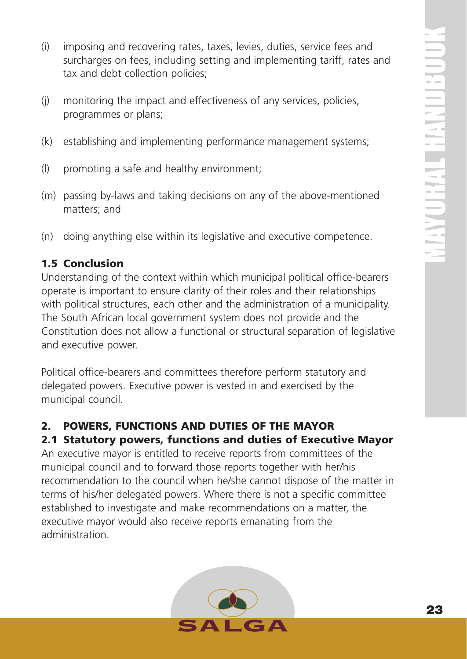- (i) imposing and recovering rates, taxes, levies, duties, service fees and surcharges on fees, including setting and implementing tariff, rates and tax and debt collection policies;
- (j) monitoring the impact and effectiveness of any services, policies, programmes or plans;
- (k) establishing and implementing performance management systems;
- (l) promoting a safe and healthy environment;
- (m) passing by-laws and taking decisions on any of the above-mentioned matters; and
- (n) doing anything else within its legislative and executive competence.

# **1.5 Conclusion**

Understanding of the context within which municipal political office-bearers operate is important to ensure clarity of their roles and their relationships with political structures, each other and the administration of a municipality. The South African local government system does not provide and the Constitution does not allow a functional or structural separation of legislative and executive power.

Political office-bearers and committees therefore perform statutory and delegated powers. Executive power is vested in and exercised by the municipal council.

# **2. POWERS, FUNCTIONS AND DUTIES OF THE MAYOR**

### **2.1 Statutory powers, functions and duties of Executive Mayor**

An executive mayor is entitled to receive reports from committees of the municipal council and to forward those reports together with her/his recommendation to the council when he/she cannot dispose of the matter in terms of his/her delegated powers. Where there is not a specific committee established to investigate and make recommendations on a matter, the executive mayor would also receive reports emanating from the administration.

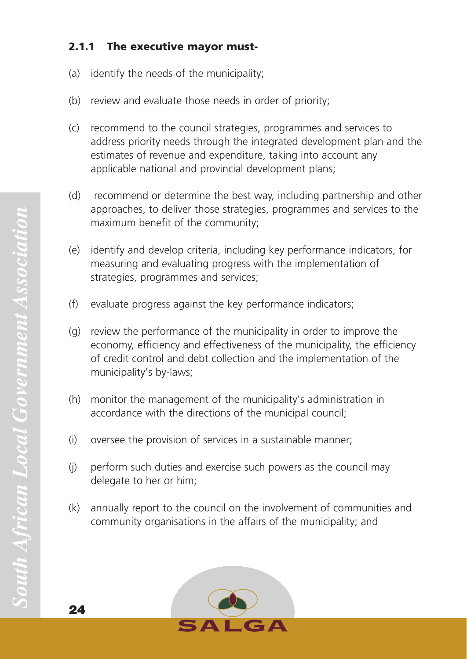### **2.1.1 The executive mayor must-**

- (a) identify the needs of the municipality;
- (b) review and evaluate those needs in order of priority;
- (c) recommend to the council strategies, programmes and services to address priority needs through the integrated development plan and the estimates of revenue and expenditure, taking into account any applicable national and provincial development plans;
- (d) recommend or determine the best way, including partnership and other approaches, to deliver those strategies, programmes and services to the maximum benefit of the community;
- (e) identify and develop criteria, including key performance indicators, for measuring and evaluating progress with the implementation of strategies, programmes and services;
- (f) evaluate progress against the key performance indicators;
- (g) review the performance of the municipality in order to improve the economy, efficiency and effectiveness of the municipality, the efficiency of credit control and debt collection and the implementation of the municipality's by-laws;
- (h) monitor the management of the municipality's administration in accordance with the directions of the municipal council;
- (i) oversee the provision of services in a sustainable manner;
- (j) perform such duties and exercise such powers as the council may delegate to her or him;
- (k) annually report to the council on the involvement of communities and community organisations in the affairs of the municipality; and

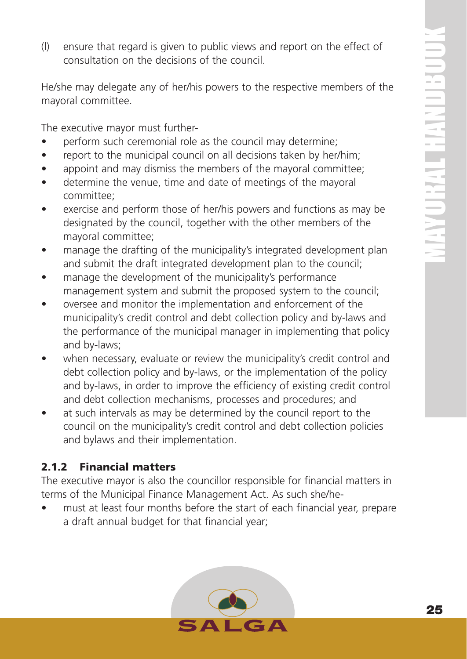(l) ensure that regard is given to public views and report on the effect of consultation on the decisions of the council.

He/she may delegate any of her/his powers to the respective members of the mayoral committee.

The executive mayor must further-

- perform such ceremonial role as the council may determine;
- report to the municipal council on all decisions taken by her/him;
- appoint and may dismiss the members of the mayoral committee;<br>• determine the venue, time and date of meetings of the mayoral
- committee;
- exercise and perform those of her/his powers and functions as may be designated by the council, together with the other members of the mayoral committee;
- manage the drafting of the municipality's integrated development plan and submit the draft integrated development plan to the council;
- manage the development of the municipality's performance management system and submit the proposed system to the council;
- oversee and monitor the implementation and enforcement of the municipality's credit control and debt collection policy and by-laws and the performance of the municipal manager in implementing that policy and by-laws;
- when necessary, evaluate or review the municipality's credit control and debt collection policy and by-laws, or the implementation of the policy and by-laws, in order to improve the efficiency of existing credit control and debt collection mechanisms, processes and procedures; and
- at such intervals as may be determined by the council report to the council on the municipality's credit control and debt collection policies and bylaws and their implementation.

# **2.1.2 Financial matters**

The executive mayor is also the councillor responsible for financial matters in terms of the Municipal Finance Management Act. As such she/he-

• must at least four months before the start of each financial year, prepare a draft annual budget for that financial year;

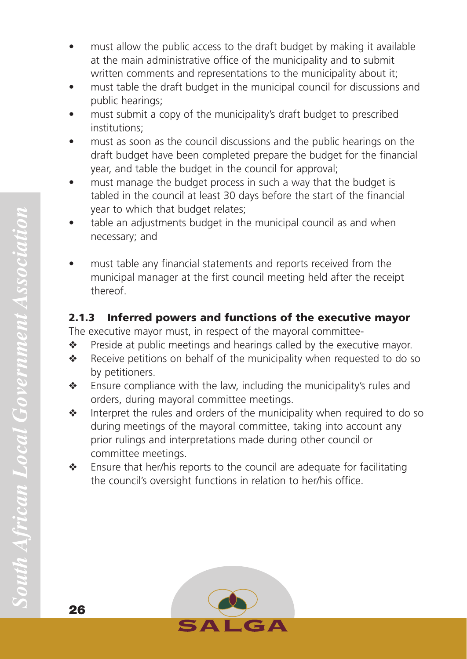- must allow the public access to the draft budget by making it available at the main administrative office of the municipality and to submit written comments and representations to the municipality about it;
- must table the draft budget in the municipal council for discussions and public hearings;
- must submit a copy of the municipality's draft budget to prescribed institutions;
- must as soon as the council discussions and the public hearings on the draft budget have been completed prepare the budget for the financial year, and table the budget in the council for approval;
- must manage the budget process in such a way that the budget is tabled in the council at least 30 days before the start of the financial year to which that budget relates;
- table an adjustments budget in the municipal council as and when necessary; and
- must table any financial statements and reports received from the municipal manager at the first council meeting held after the receipt thereof.

# **2.1.3 Inferred powers and functions of the executive mayor**

The executive mayor must, in respect of the mayoral committee-

- ❖ Preside at public meetings and hearings called by the executive mayor.
- ❖ Receive petitions on behalf of the municipality when requested to do so by petitioners.
- $\triangleleft$  Ensure compliance with the law, including the municipality's rules and orders, during mayoral committee meetings.
- ❖ Interpret the rules and orders of the municipality when required to do so during meetings of the mayoral committee, taking into account any prior rulings and interpretations made during other council or committee meetings.
- ❖ Ensure that her/his reports to the council are adequate for facilitating the council's oversight functions in relation to her/his office.

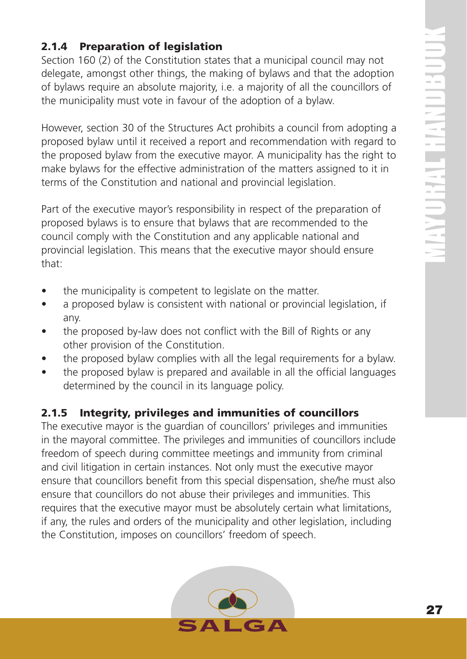# **2.1.4 Preparation of legislation**

Section 160 (2) of the Constitution states that a municipal council may not delegate, amongst other things, the making of bylaws and that the adoption of bylaws require an absolute majority, i.e. a majority of all the councillors of the municipality must vote in favour of the adoption of a bylaw.

However, section 30 of the Structures Act prohibits a council from adopting a proposed bylaw until it received a report and recommendation with regard to the proposed bylaw from the executive mayor. A municipality has the right to make bylaws for the effective administration of the matters assigned to it in terms of the Constitution and national and provincial legislation.

Part of the executive mayor's responsibility in respect of the preparation of proposed bylaws is to ensure that bylaws that are recommended to the council comply with the Constitution and any applicable national and provincial legislation. This means that the executive mayor should ensure that:<br>
• the municipality is competent to legislate on the matter.

- 
- a proposed bylaw is consistent with national or provincial legislation, if any.
- the proposed by-law does not conflict with the Bill of Rights or any other provision of the Constitution.
- the proposed bylaw complies with all the legal requirements for a bylaw.
- the proposed bylaw is prepared and available in all the official languages determined by the council in its language policy.

# **2.1.5 Integrity, privileges and immunities of councillors**

The executive mayor is the guardian of councillors' privileges and immunities in the mayoral committee. The privileges and immunities of councillors include freedom of speech during committee meetings and immunity from criminal and civil litigation in certain instances. Not only must the executive mayor ensure that councillors benefit from this special dispensation, she/he must also ensure that councillors do not abuse their privileges and immunities. This requires that the executive mayor must be absolutely certain what limitations, if any, the rules and orders of the municipality and other legislation, including the Constitution, imposes on councillors' freedom of speech.

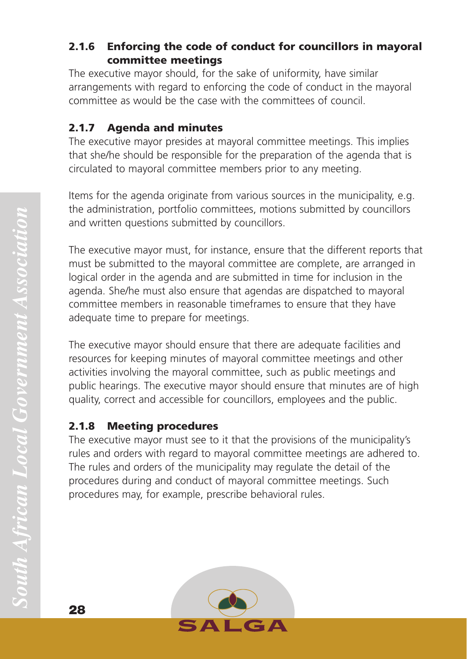### **2.1.6 Enforcing the code of conduct for councillors in mayoral committee meetings**

The executive mayor should, for the sake of uniformity, have similar arrangements with regard to enforcing the code of conduct in the mayoral committee as would be the case with the committees of council.

# **2.1.7 Agenda and minutes**

The executive mayor presides at mayoral committee meetings. This implies that she/he should be responsible for the preparation of the agenda that is circulated to mayoral committee members prior to any meeting.

Items for the agenda originate from various sources in the municipality, e.g. the administration, portfolio committees, motions submitted by councillors and written questions submitted by councillors.

The executive mayor must, for instance, ensure that the different reports that must be submitted to the mayoral committee are complete, are arranged in logical order in the agenda and are submitted in time for inclusion in the agenda. She/he must also ensure that agendas are dispatched to mayoral committee members in reasonable timeframes to ensure that they have adequate time to prepare for meetings.

The executive mayor should ensure that there are adequate facilities and resources for keeping minutes of mayoral committee meetings and other activities involving the mayoral committee, such as public meetings and public hearings. The executive mayor should ensure that minutes are of high quality, correct and accessible for councillors, employees and the public.

# **2.1.8 Meeting procedures**

The executive mayor must see to it that the provisions of the municipality's rules and orders with regard to mayoral committee meetings are adhered to. The rules and orders of the municipality may regulate the detail of the procedures during and conduct of mayoral committee meetings. Such procedures may, for example, prescribe behavioral rules.

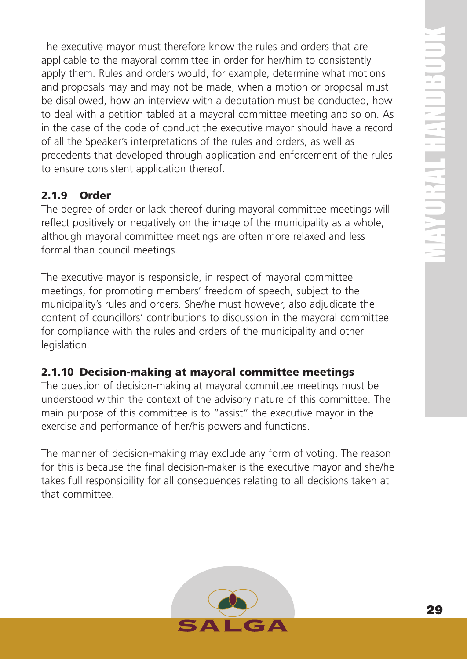The executive mayor must therefore know the rules and orders that are applicable to the mayoral committee in order for her/him to consistently apply them. Rules and orders would, for example, determine what motions and proposals may and may not be made, when a motion or proposal must be disallowed, how an interview with a deputation must be conducted, how to deal with a petition tabled at a mayoral committee meeting and so on. As in the case of the code of conduct the executive mayor should have a record of all the Speaker's interpretations of the rules and orders, as well as precedents that developed through application and enforcement of the rules to ensure consistent application thereof.

# **2.1.9 Order**

The degree of order or lack thereof during mayoral committee meetings will reflect positively or negatively on the image of the municipality as a whole, although mayoral committee meetings are often more relaxed and less formal than council meetings.

The executive mayor is responsible, in respect of mayoral committee meetings, for promoting members' freedom of speech, subject to the municipality's rules and orders. She/he must however, also adjudicate the content of councillors' contributions to discussion in the mayoral committee for compliance with the rules and orders of the municipality and other legislation.

# **2.1.10 Decision-making at mayoral committee meetings**

The question of decision-making at mayoral committee meetings must be understood within the context of the advisory nature of this committee. The main purpose of this committee is to "assist" the executive mayor in the exercise and performance of her/his powers and functions.

The manner of decision-making may exclude any form of voting. The reason for this is because the final decision-maker is the executive mayor and she/he takes full responsibility for all consequences relating to all decisions taken at that committee.

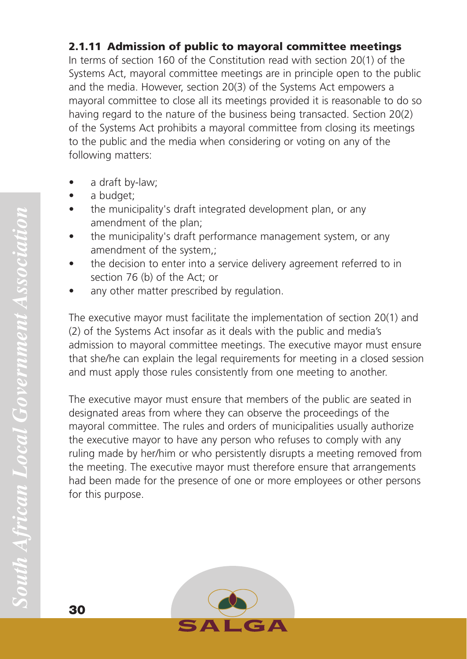# **2.1.11 Admission of public to mayoral committee meetings**

In terms of section 160 of the Constitution read with section 20(1) of the Systems Act, mayoral committee meetings are in principle open to the public and the media. However, section 20(3) of the Systems Act empowers a mayoral committee to close all its meetings provided it is reasonable to do so having regard to the nature of the business being transacted. Section 20(2) of the Systems Act prohibits a mayoral committee from closing its meetings to the public and the media when considering or voting on any of the following matters:

- a draft by-law;
- a budget;
- the municipality's draft integrated development plan, or any amendment of the plan;
- the municipality's draft performance management system, or any amendment of the system,;
- the decision to enter into a service delivery agreement referred to in section 76 (b) of the Act; or
- any other matter prescribed by regulation.

The executive mayor must facilitate the implementation of section 20(1) and (2) of the Systems Act insofar as it deals with the public and media's admission to mayoral committee meetings. The executive mayor must ensure that she/he can explain the legal requirements for meeting in a closed session and must apply those rules consistently from one meeting to another.

The executive mayor must ensure that members of the public are seated in designated areas from where they can observe the proceedings of the mayoral committee. The rules and orders of municipalities usually authorize the executive mayor to have any person who refuses to comply with any ruling made by her/him or who persistently disrupts a meeting removed from the meeting. The executive mayor must therefore ensure that arrangements had been made for the presence of one or more employees or other persons for this purpose.

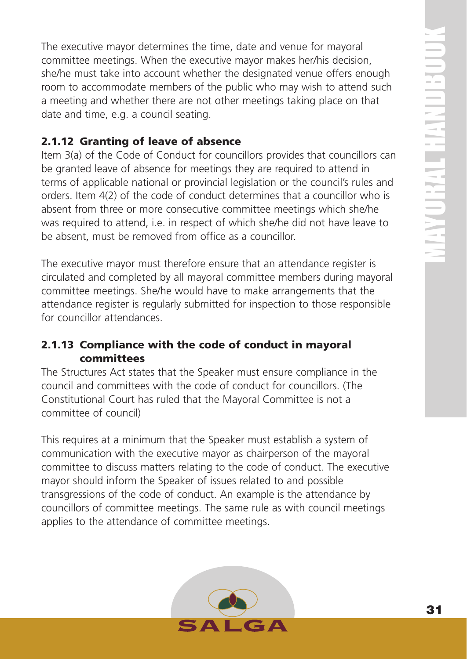The executive mayor determines the time, date and venue for mayoral committee meetings. When the executive mayor makes her/his decision, she/he must take into account whether the designated venue offers enough room to accommodate members of the public who may wish to attend such a meeting and whether there are not other meetings taking place on that date and time, e.g. a council seating.

# **2.1.12 Granting of leave of absence**

Item 3(a) of the Code of Conduct for councillors provides that councillors can be granted leave of absence for meetings they are required to attend in terms of applicable national or provincial legislation or the council's rules and orders. Item 4(2) of the code of conduct determines that a councillor who is absent from three or more consecutive committee meetings which she/he was required to attend, i.e. in respect of which she/he did not have leave to be absent, must be removed from office as a councillor.

The executive mayor must therefore ensure that an attendance register is circulated and completed by all mayoral committee members during mayoral committee meetings. She/he would have to make arrangements that the attendance register is regularly submitted for inspection to those responsible for councillor attendances.

# **2.1.13 Compliance with the code of conduct in mayoral committees**

The Structures Act states that the Speaker must ensure compliance in the council and committees with the code of conduct for councillors. (The Constitutional Court has ruled that the Mayoral Committee is not a committee of council)

This requires at a minimum that the Speaker must establish a system of communication with the executive mayor as chairperson of the mayoral committee to discuss matters relating to the code of conduct. The executive mayor should inform the Speaker of issues related to and possible transgressions of the code of conduct. An example is the attendance by councillors of committee meetings. The same rule as with council meetings applies to the attendance of committee meetings.

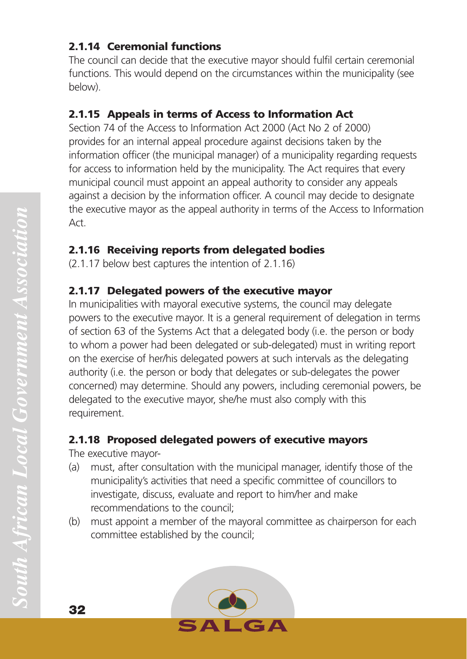### **2.1.14 Ceremonial functions**

The council can decide that the executive mayor should fulfil certain ceremonial functions. This would depend on the circumstances within the municipality (see below).

### **2.1.15 Appeals in terms of Access to Information Act**

Section 74 of the Access to Information Act 2000 (Act No 2 of 2000) provides for an internal appeal procedure against decisions taken by the information officer (the municipal manager) of a municipality regarding requests for access to information held by the municipality. The Act requires that every municipal council must appoint an appeal authority to consider any appeals against a decision by the information officer. A council may decide to designate the executive mayor as the appeal authority in terms of the Access to Information Act.

### **2.1.16 Receiving reports from delegated bodies**

(2.1.17 below best captures the intention of 2.1.16)

### **2.1.17 Delegated powers of the executive mayor**

In municipalities with mayoral executive systems, the council may delegate powers to the executive mayor. It is a general requirement of delegation in terms of section 63 of the Systems Act that a delegated body (i.e. the person or body to whom a power had been delegated or sub-delegated) must in writing report on the exercise of her/his delegated powers at such intervals as the delegating authority (i.e. the person or body that delegates or sub-delegates the power concerned) may determine. Should any powers, including ceremonial powers, be delegated to the executive mayor, she/he must also comply with this requirement.

# **2.1.18 Proposed delegated powers of executive mayors**

The executive mayor-

- (a) must, after consultation with the municipal manager, identify those of the municipality's activities that need a specific committee of councillors to investigate, discuss, evaluate and report to him/her and make recommendations to the council;
- (b) must appoint a member of the mayoral committee as chairperson for each committee established by the council;

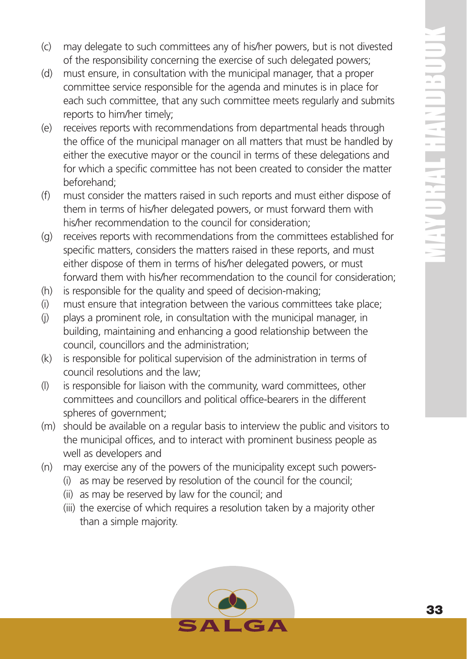- (c) may delegate to such committees any of his/her powers, but is not divested of the responsibility concerning the exercise of such delegated powers;
- (d) must ensure, in consultation with the municipal manager, that a proper committee service responsible for the agenda and minutes is in place for each such committee, that any such committee meets regularly and submits reports to him/her timely;
- (e) receives reports with recommendations from departmental heads through the office of the municipal manager on all matters that must be handled by either the executive mayor or the council in terms of these delegations and for which a specific committee has not been created to consider the matter beforehand;
- (f) must consider the matters raised in such reports and must either dispose of them in terms of his/her delegated powers, or must forward them with his/her recommendation to the council for consideration;
- (g) receives reports with recommendations from the committees established for specific matters, considers the matters raised in these reports, and must either dispose of them in terms of his/her delegated powers, or must forward them with his/her recommendation to the council for consideration;
- (h) is responsible for the quality and speed of decision-making;
- (i) must ensure that integration between the various committees take place;
- (j) plays a prominent role, in consultation with the municipal manager, in building, maintaining and enhancing a good relationship between the council, councillors and the administration;
- (k) is responsible for political supervision of the administration in terms of council resolutions and the law;
- (l) is responsible for liaison with the community, ward committees, other committees and councillors and political office-bearers in the different spheres of government;
- (m) should be available on a regular basis to interview the public and visitors to the municipal offices, and to interact with prominent business people as well as developers and
- (n) may exercise any of the powers of the municipality except such powers-
	- (i) as may be reserved by resolution of the council for the council;
	- (ii) as may be reserved by law for the council; and
	- (iii) the exercise of which requires a resolution taken by a majority other than a simple majority.

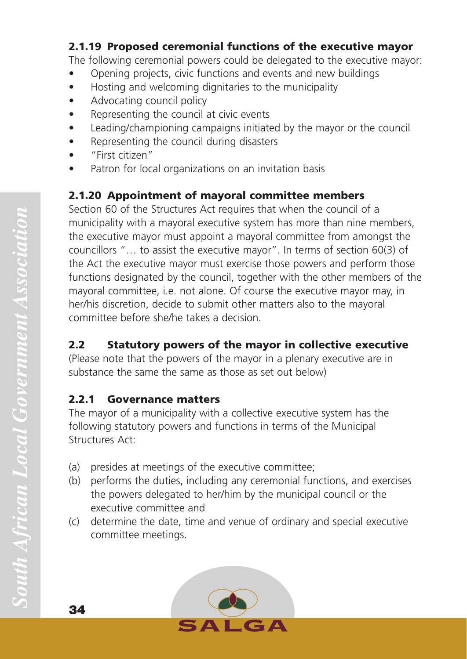# **2.1.19 Proposed ceremonial functions of the executive mayor**

The following ceremonial powers could be delegated to the executive mayor:

- Opening projects, civic functions and events and new buildings
- Hosting and welcoming dignitaries to the municipality
- Advocating council policy
- Representing the council at civic events
- Leading/championing campaigns initiated by the mayor or the council
- Representing the council during disasters
- "First citizen"
- Patron for local organizations on an invitation basis

### **2.1.20 Appointment of mayoral committee members**

Section 60 of the Structures Act requires that when the council of a municipality with a mayoral executive system has more than nine members, the executive mayor must appoint a mayoral committee from amongst the councillors "… to assist the executive mayor". In terms of section 60(3) of the Act the executive mayor must exercise those powers and perform those functions designated by the council, together with the other members of the mayoral committee, i.e. not alone. Of course the executive mayor may, in her/his discretion, decide to submit other matters also to the mayoral committee before she/he takes a decision.

# **2.2 Statutory powers of the mayor in collective executive**

(Please note that the powers of the mayor in a plenary executive are in substance the same the same as those as set out below)

### **2.2.1 Governance matters**

The mayor of a municipality with a collective executive system has the following statutory powers and functions in terms of the Municipal Structures Act:

- (a) presides at meetings of the executive committee;
- (b) performs the duties, including any ceremonial functions, and exercises the powers delegated to her/him by the municipal council or the executive committee and
- (c) determine the date, time and venue of ordinary and special executive committee meetings.

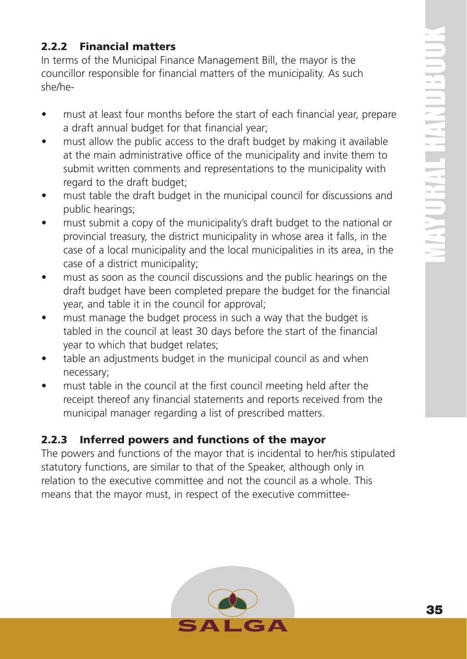# **2.2.2 Financial matters**

In terms of the Municipal Finance Management Bill, the mayor is the councillor responsible for financial matters of the municipality. As such

- she/he-<br>• must at least four months before the start of each financial year, prepare a draft annual budget for that financial year;
- must allow the public access to the draft budget by making it available at the main administrative office of the municipality and invite them to submit written comments and representations to the municipality with regard to the draft budget;
- must table the draft budget in the municipal council for discussions and public hearings;
- must submit a copy of the municipality's draft budget to the national or provincial treasury, the district municipality in whose area it falls, in the case of a local municipality and the local municipalities in its area, in the case of a district municipality;
- must as soon as the council discussions and the public hearings on the draft budget have been completed prepare the budget for the financial year, and table it in the council for approval;
- must manage the budget process in such a way that the budget is tabled in the council at least 30 days before the start of the financial year to which that budget relates;
- table an adjustments budget in the municipal council as and when necessary;
- must table in the council at the first council meeting held after the receipt thereof any financial statements and reports received from the municipal manager regarding a list of prescribed matters.

# **2.2.3 Inferred powers and functions of the mayor**

The powers and functions of the mayor that is incidental to her/his stipulated statutory functions, are similar to that of the Speaker, although only in relation to the executive committee and not the council as a whole. This means that the mayor must, in respect of the executive committee-

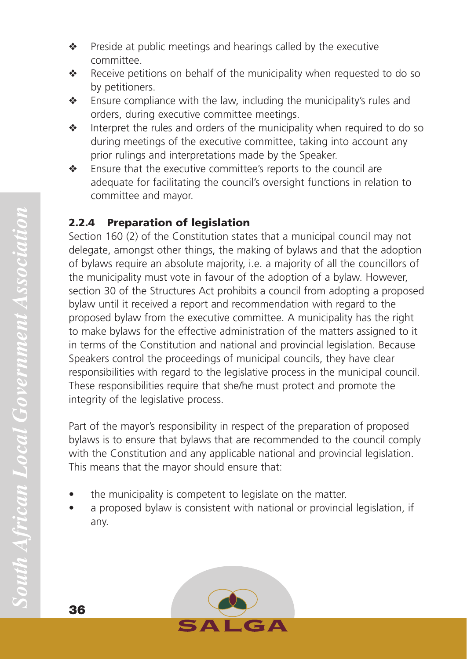- ❖ Preside at public meetings and hearings called by the executive committee.
- ❖ Receive petitions on behalf of the municipality when requested to do so by petitioners.
- ❖ Ensure compliance with the law, including the municipality's rules and orders, during executive committee meetings.
- $\triangleleft$  Interpret the rules and orders of the municipality when required to do so during meetings of the executive committee, taking into account any prior rulings and interpretations made by the Speaker.
- ❖ Ensure that the executive committee's reports to the council are adequate for facilitating the council's oversight functions in relation to committee and mayor.

# **2.2.4 Preparation of legislation**

Section 160 (2) of the Constitution states that a municipal council may not delegate, amongst other things, the making of bylaws and that the adoption of bylaws require an absolute majority, i.e. a majority of all the councillors of the municipality must vote in favour of the adoption of a bylaw. However, section 30 of the Structures Act prohibits a council from adopting a proposed bylaw until it received a report and recommendation with regard to the proposed bylaw from the executive committee. A municipality has the right to make bylaws for the effective administration of the matters assigned to it in terms of the Constitution and national and provincial legislation. Because Speakers control the proceedings of municipal councils, they have clear responsibilities with regard to the legislative process in the municipal council. These responsibilities require that she/he must protect and promote the integrity of the legislative process.

Part of the mayor's responsibility in respect of the preparation of proposed bylaws is to ensure that bylaws that are recommended to the council comply with the Constitution and any applicable national and provincial legislation. This means that the mayor should ensure that:

- the municipality is competent to legislate on the matter.
- a proposed bylaw is consistent with national or provincial legislation, if any.

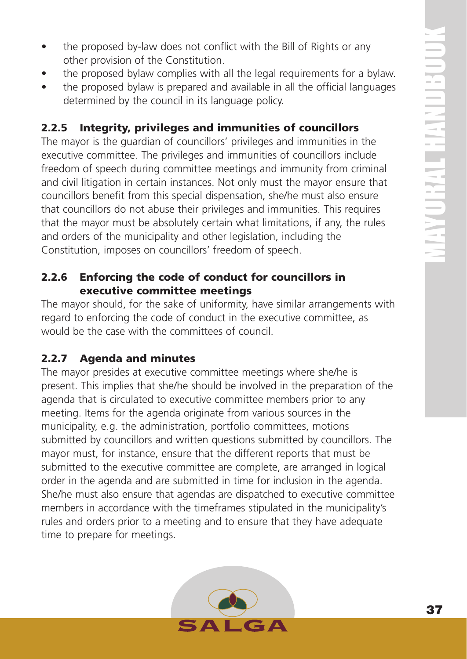- the proposed by-law does not conflict with the Bill of Rights or any other provision of the Constitution.
- the proposed bylaw complies with all the legal requirements for a bylaw.
- the proposed by law is prepared and available in all the official languages determined by the council in its language policy.

# **2.2.5 Integrity, privileges and immunities of councillors**

The mayor is the guardian of councillors' privileges and immunities in the executive committee. The privileges and immunities of councillors include freedom of speech during committee meetings and immunity from criminal and civil litigation in certain instances. Not only must the mayor ensure that councillors benefit from this special dispensation, she/he must also ensure that councillors do not abuse their privileges and immunities. This requires that the mayor must be absolutely certain what limitations, if any, the rules and orders of the municipality and other legislation, including the Constitution, imposes on councillors' freedom of speech.

# **2.2.6 Enforcing the code of conduct for councillors in executive committee meetings**

The mayor should, for the sake of uniformity, have similar arrangements with regard to enforcing the code of conduct in the executive committee, as would be the case with the committees of council.

# **2.2.7 Agenda and minutes**

The mayor presides at executive committee meetings where she/he is present. This implies that she/he should be involved in the preparation of the agenda that is circulated to executive committee members prior to any meeting. Items for the agenda originate from various sources in the municipality, e.g. the administration, portfolio committees, motions submitted by councillors and written questions submitted by councillors. The mayor must, for instance, ensure that the different reports that must be submitted to the executive committee are complete, are arranged in logical order in the agenda and are submitted in time for inclusion in the agenda. She/he must also ensure that agendas are dispatched to executive committee members in accordance with the timeframes stipulated in the municipality's rules and orders prior to a meeting and to ensure that they have adequate time to prepare for meetings.

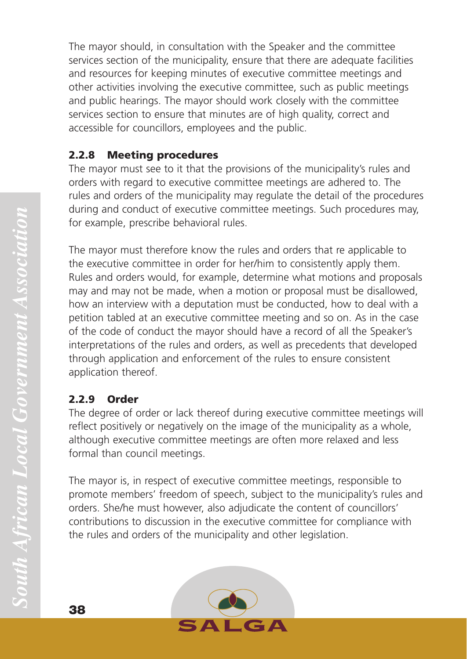The mayor should, in consultation with the Speaker and the committee services section of the municipality, ensure that there are adequate facilities and resources for keeping minutes of executive committee meetings and other activities involving the executive committee, such as public meetings and public hearings. The mayor should work closely with the committee services section to ensure that minutes are of high quality, correct and accessible for councillors, employees and the public.

## **2.2.8 Meeting procedures**

The mayor must see to it that the provisions of the municipality's rules and orders with regard to executive committee meetings are adhered to. The rules and orders of the municipality may regulate the detail of the procedures during and conduct of executive committee meetings. Such procedures may, for example, prescribe behavioral rules.

The mayor must therefore know the rules and orders that re applicable to the executive committee in order for her/him to consistently apply them. Rules and orders would, for example, determine what motions and proposals may and may not be made, when a motion or proposal must be disallowed, how an interview with a deputation must be conducted, how to deal with a petition tabled at an executive committee meeting and so on. As in the case of the code of conduct the mayor should have a record of all the Speaker's interpretations of the rules and orders, as well as precedents that developed through application and enforcement of the rules to ensure consistent application thereof.

# **2.2.9 Order**

The degree of order or lack thereof during executive committee meetings will reflect positively or negatively on the image of the municipality as a whole, although executive committee meetings are often more relaxed and less formal than council meetings.

The mayor is, in respect of executive committee meetings, responsible to promote members' freedom of speech, subject to the municipality's rules and orders. She/he must however, also adjudicate the content of councillors' contributions to discussion in the executive committee for compliance with the rules and orders of the municipality and other legislation.

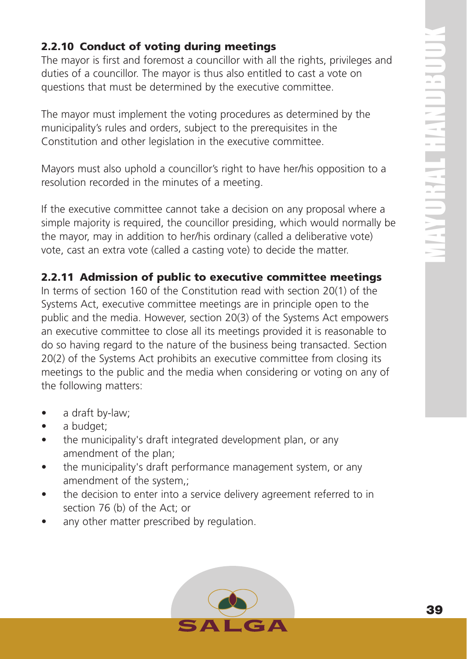## **2.2.10 Conduct of voting during meetings**

The mayor is first and foremost a councillor with all the rights, privileges and duties of a councillor. The mayor is thus also entitled to cast a vote on questions that must be determined by the executive committee.

The mayor must implement the voting procedures as determined by the municipality's rules and orders, subject to the prerequisites in the Constitution and other legislation in the executive committee.

Mayors must also uphold a councillor's right to have her/his opposition to a resolution recorded in the minutes of a meeting.

If the executive committee cannot take a decision on any proposal where a simple majority is required, the councillor presiding, which would normally be the mayor, may in addition to her/his ordinary (called a deliberative vote) vote, cast an extra vote (called a casting vote) to decide the matter.

# **2.2.11 Admission of public to executive committee meetings**

In terms of section 160 of the Constitution read with section 20(1) of the Systems Act, executive committee meetings are in principle open to the public and the media. However, section 20(3) of the Systems Act empowers an executive committee to close all its meetings provided it is reasonable to do so having regard to the nature of the business being transacted. Section 20(2) of the Systems Act prohibits an executive committee from closing its meetings to the public and the media when considering or voting on any of the following matters:

- a draft by-law;
- a budget;
- the municipality's draft integrated development plan, or any amendment of the plan;
- the municipality's draft performance management system, or any amendment of the system,;
- the decision to enter into a service delivery agreement referred to in section 76 (b) of the Act; or
- any other matter prescribed by regulation.

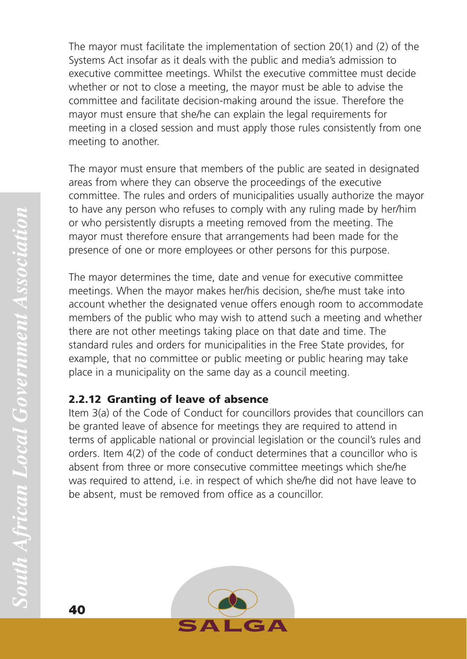The mayor must facilitate the implementation of section 20(1) and (2) of the Systems Act insofar as it deals with the public and media's admission to executive committee meetings. Whilst the executive committee must decide whether or not to close a meeting, the mayor must be able to advise the committee and facilitate decision-making around the issue. Therefore the mayor must ensure that she/he can explain the legal requirements for meeting in a closed session and must apply those rules consistently from one meeting to another.

The mayor must ensure that members of the public are seated in designated areas from where they can observe the proceedings of the executive committee. The rules and orders of municipalities usually authorize the mayor to have any person who refuses to comply with any ruling made by her/him or who persistently disrupts a meeting removed from the meeting. The mayor must therefore ensure that arrangements had been made for the presence of one or more employees or other persons for this purpose.

The mayor determines the time, date and venue for executive committee meetings. When the mayor makes her/his decision, she/he must take into account whether the designated venue offers enough room to accommodate members of the public who may wish to attend such a meeting and whether there are not other meetings taking place on that date and time. The standard rules and orders for municipalities in the Free State provides, for example, that no committee or public meeting or public hearing may take place in a municipality on the same day as a council meeting.

## **2.2.12 Granting of leave of absence**

Item 3(a) of the Code of Conduct for councillors provides that councillors can be granted leave of absence for meetings they are required to attend in terms of applicable national or provincial legislation or the council's rules and orders. Item 4(2) of the code of conduct determines that a councillor who is absent from three or more consecutive committee meetings which she/he was required to attend, i.e. in respect of which she/he did not have leave to be absent, must be removed from office as a councillor.

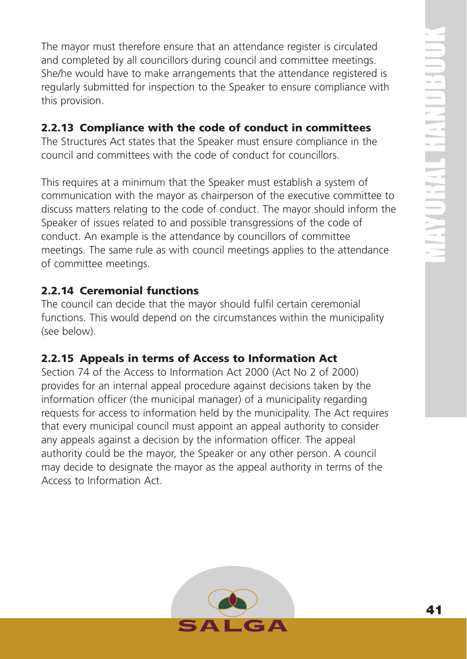The mayor must therefore ensure that an attendance register is circulated and completed by all councillors during council and committee meetings. She/he would have to make arrangements that the attendance registered is regularly submitted for inspection to the Speaker to ensure compliance with this provision.

# **2.2.13 Compliance with the code of conduct in committees**

The Structures Act states that the Speaker must ensure compliance in the council and committees with the code of conduct for councillors.

This requires at a minimum that the Speaker must establish a system of communication with the mayor as chairperson of the executive committee to discuss matters relating to the code of conduct. The mayor should inform the Speaker of issues related to and possible transgressions of the code of conduct. An example is the attendance by councillors of committee meetings. The same rule as with council meetings applies to the attendance of committee meetings.

## **2.2.14 Ceremonial functions**

The council can decide that the mayor should fulfil certain ceremonial functions. This would depend on the circumstances within the municipality (see below).

# **2.2.15 Appeals in terms of Access to Information Act**

Section 74 of the Access to Information Act 2000 (Act No 2 of 2000) provides for an internal appeal procedure against decisions taken by the information officer (the municipal manager) of a municipality regarding requests for access to information held by the municipality. The Act requires that every municipal council must appoint an appeal authority to consider any appeals against a decision by the information officer. The appeal authority could be the mayor, the Speaker or any other person. A council may decide to designate the mayor as the appeal authority in terms of the Access to Information Act.

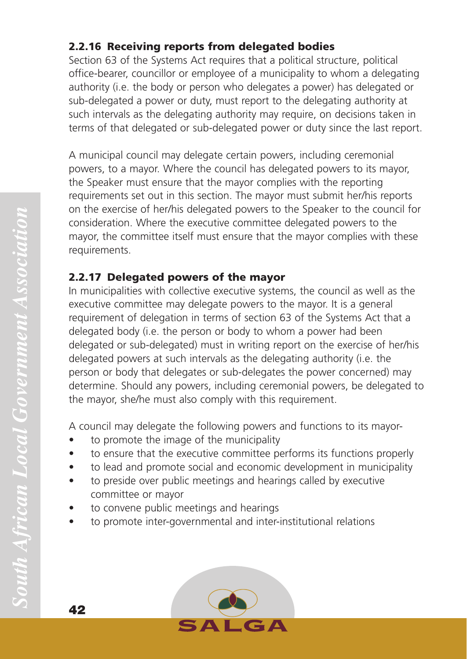# **2.2.16 Receiving reports from delegated bodies**

Section 63 of the Systems Act requires that a political structure, political office-bearer, councillor or employee of a municipality to whom a delegating authority (i.e. the body or person who delegates a power) has delegated or sub-delegated a power or duty, must report to the delegating authority at such intervals as the delegating authority may require, on decisions taken in terms of that delegated or sub-delegated power or duty since the last report.

A municipal council may delegate certain powers, including ceremonial powers, to a mayor. Where the council has delegated powers to its mayor, the Speaker must ensure that the mayor complies with the reporting requirements set out in this section. The mayor must submit her/his reports on the exercise of her/his delegated powers to the Speaker to the council for consideration. Where the executive committee delegated powers to the mayor, the committee itself must ensure that the mayor complies with these requirements.

# **2.2.17 Delegated powers of the mayor**

In municipalities with collective executive systems, the council as well as the executive committee may delegate powers to the mayor. It is a general requirement of delegation in terms of section 63 of the Systems Act that a delegated body (i.e. the person or body to whom a power had been delegated or sub-delegated) must in writing report on the exercise of her/his delegated powers at such intervals as the delegating authority (i.e. the person or body that delegates or sub-delegates the power concerned) may determine. Should any powers, including ceremonial powers, be delegated to the mayor, she/he must also comply with this requirement.

A council may delegate the following powers and functions to its mayor-

- to promote the image of the municipality
- to ensure that the executive committee performs its functions properly
- to lead and promote social and economic development in municipality
- to preside over public meetings and hearings called by executive committee or mayor
- to convene public meetings and hearings
- to promote inter-governmental and inter-institutional relations

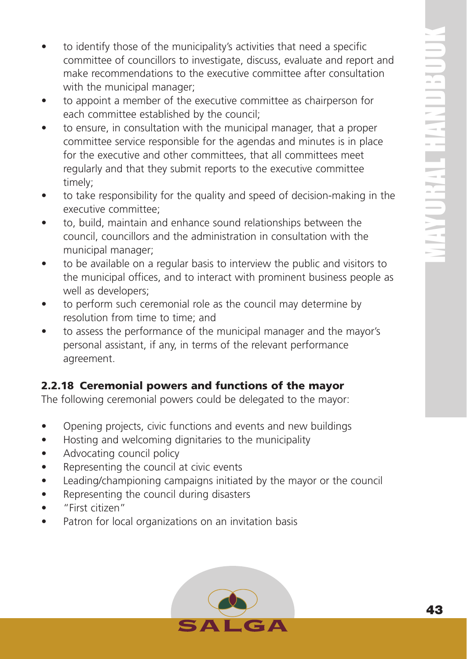- to identify those of the municipality's activities that need a specific committee of councillors to investigate, discuss, evaluate and report and make recommendations to the executive committee after consultation with the municipal manager;
- to appoint a member of the executive committee as chairperson for each committee established by the council;
- to ensure, in consultation with the municipal manager, that a proper committee service responsible for the agendas and minutes is in place for the executive and other committees, that all committees meet regularly and that they submit reports to the executive committee timely;
- to take responsibility for the quality and speed of decision-making in the executive committee;
- to, build, maintain and enhance sound relationships between the council, councillors and the administration in consultation with the municipal manager;
- to be available on a regular basis to interview the public and visitors to the municipal offices, and to interact with prominent business people as well as developers;
- to perform such ceremonial role as the council may determine by resolution from time to time; and
- to assess the performance of the municipal manager and the mayor's personal assistant, if any, in terms of the relevant performance agreement.

# **2.2.18 Ceremonial powers and functions of the mayor**

- The following ceremonial powers could be delegated to the mayor:<br>• Opening projects, civic functions and events and new buildings
- Hosting and welcoming dignitaries to the municipality
- Advocating council policy
- Representing the council at civic events
- Leading/championing campaigns initiated by the mayor or the council
- Representing the council during disasters
- "First citizen"
- Patron for local organizations on an invitation basis

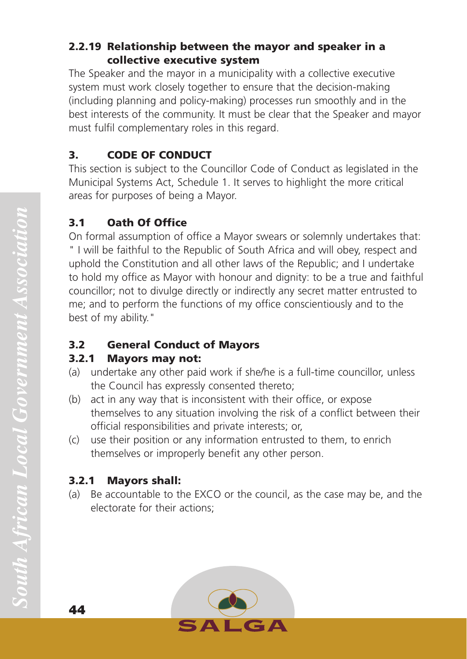## **2.2.19 Relationship between the mayor and speaker in a collective executive system**

The Speaker and the mayor in a municipality with a collective executive system must work closely together to ensure that the decision-making (including planning and policy-making) processes run smoothly and in the best interests of the community. It must be clear that the Speaker and mayor must fulfil complementary roles in this regard.

# **3. CODE OF CONDUCT**

This section is subject to the Councillor Code of Conduct as legislated in the Municipal Systems Act, Schedule 1. It serves to highlight the more critical areas for purposes of being a Mayor.

# **3.1 Oath Of Office**

On formal assumption of office a Mayor swears or solemnly undertakes that: " I will be faithful to the Republic of South Africa and will obey, respect and uphold the Constitution and all other laws of the Republic; and I undertake to hold my office as Mayor with honour and dignity: to be a true and faithful councillor; not to divulge directly or indirectly any secret matter entrusted to me; and to perform the functions of my office conscientiously and to the best of my ability."

# **3.2 General Conduct of Mayors**

## **3.2.1 Mayors may not:**

- (a) undertake any other paid work if she/he is a full-time councillor, unless the Council has expressly consented thereto;
- (b) act in any way that is inconsistent with their office, or expose themselves to any situation involving the risk of a conflict between their official responsibilities and private interests; or,
- (c) use their position or any information entrusted to them, to enrich themselves or improperly benefit any other person.

# **3.2.1 Mayors shall:**

**44**

(a) Be accountable to the EXCO or the council, as the case may be, and the electorate for their actions;

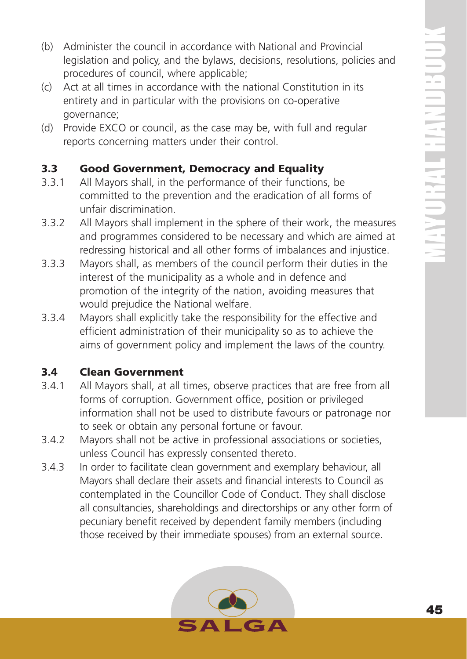- (b) Administer the council in accordance with National and Provincial legislation and policy, and the bylaws, decisions, resolutions, policies and procedures of council, where applicable;
- (c) Act at all times in accordance with the national Constitution in its entirety and in particular with the provisions on co-operative governance;
- (d) Provide EXCO or council, as the case may be, with full and regular reports concerning matters under their control.

# **3.3 Good Government, Democracy and Equality**

- 3.3.1 All Mayors shall, in the performance of their functions, be committed to the prevention and the eradication of all forms of unfair discrimination.
- 3.3.2 All Mayors shall implement in the sphere of their work, the measures and programmes considered to be necessary and which are aimed at redressing historical and all other forms of imbalances and injustice.
- 3.3.3 Mayors shall, as members of the council perform their duties in the interest of the municipality as a whole and in defence and promotion of the integrity of the nation, avoiding measures that would prejudice the National welfare.
- 3.3.4 Mayors shall explicitly take the responsibility for the effective and efficient administration of their municipality so as to achieve the aims of government policy and implement the laws of the country.

# **3.4 Clean Government**

- 3.4.1 All Mayors shall, at all times, observe practices that are free from all forms of corruption. Government office, position or privileged information shall not be used to distribute favours or patronage nor to seek or obtain any personal fortune or favour.
- 3.4.2 Mayors shall not be active in professional associations or societies, unless Council has expressly consented thereto.
- 3.4.3 In order to facilitate clean government and exemplary behaviour, all Mayors shall declare their assets and financial interests to Council as contemplated in the Councillor Code of Conduct. They shall disclose all consultancies, shareholdings and directorships or any other form of pecuniary benefit received by dependent family members (including those received by their immediate spouses) from an external source.

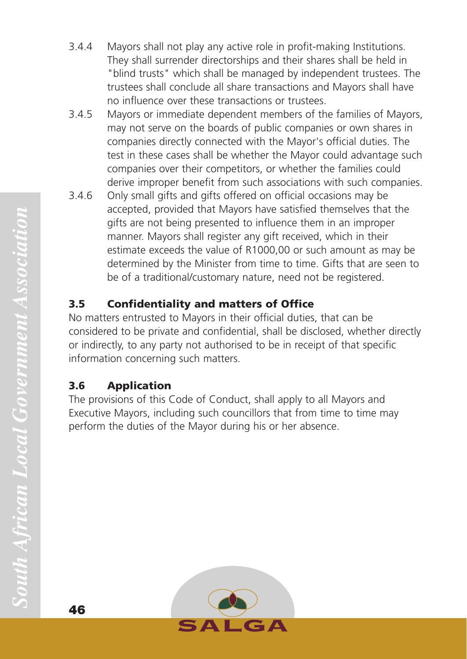- 3.4.4 Mayors shall not play any active role in profit-making Institutions. They shall surrender directorships and their shares shall be held in "blind trusts" which shall be managed by independent trustees. The trustees shall conclude all share transactions and Mayors shall have no influence over these transactions or trustees.
- 3.4.5 Mayors or immediate dependent members of the families of Mayors, may not serve on the boards of public companies or own shares in companies directly connected with the Mayor's official duties. The test in these cases shall be whether the Mayor could advantage such companies over their competitors, or whether the families could derive improper benefit from such associations with such companies.
- 3.4.6 Only small gifts and gifts offered on official occasions may be accepted, provided that Mayors have satisfied themselves that the gifts are not being presented to influence them in an improper manner. Mayors shall register any gift received, which in their estimate exceeds the value of R1000,00 or such amount as may be determined by the Minister from time to time. Gifts that are seen to be of a traditional/customary nature, need not be registered.

# **3.5 Confidentiality and matters of Office**

No matters entrusted to Mayors in their official duties, that can be considered to be private and confidential, shall be disclosed, whether directly or indirectly, to any party not authorised to be in receipt of that specific information concerning such matters.

# **3.6 Application**

The provisions of this Code of Conduct, shall apply to all Mayors and Executive Mayors, including such councillors that from time to time may perform the duties of the Mayor during his or her absence.

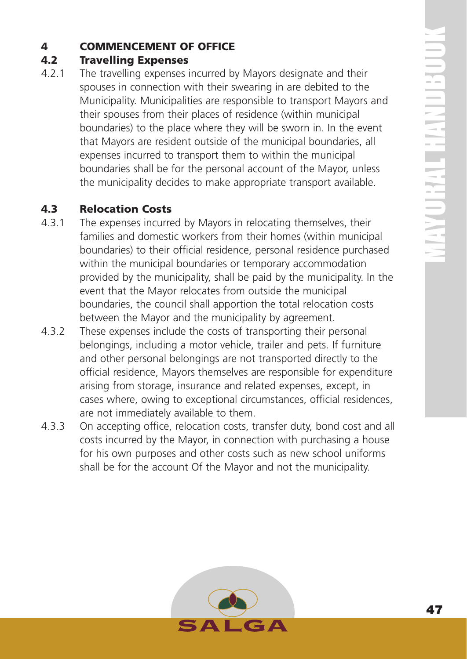## **4 COMMENCEMENT OF OFFICE**

#### **4.2 Travelling Expenses**

4.2.1 The travelling expenses incurred by Mayors designate and their spouses in connection with their swearing in are debited to the Municipality. Municipalities are responsible to transport Mayors and their spouses from their places of residence (within municipal boundaries) to the place where they will be sworn in. In the event that Mayors are resident outside of the municipal boundaries, all expenses incurred to transport them to within the municipal boundaries shall be for the personal account of the Mayor, unless the municipality decides to make appropriate transport available.

#### **4.3 Relocation Costs**

- 4.3.1 The expenses incurred by Mayors in relocating themselves, their families and domestic workers from their homes (within municipal boundaries) to their official residence, personal residence purchased within the municipal boundaries or temporary accommodation provided by the municipality, shall be paid by the municipality. In the event that the Mayor relocates from outside the municipal boundaries, the council shall apportion the total relocation costs between the Mayor and the municipality by agreement.
- 4.3.2 These expenses include the costs of transporting their personal belongings, including a motor vehicle, trailer and pets. If furniture and other personal belongings are not transported directly to the official residence, Mayors themselves are responsible for expenditure arising from storage, insurance and related expenses, except, in cases where, owing to exceptional circumstances, official residences, are not immediately available to them.
- 4.3.3 On accepting office, relocation costs, transfer duty, bond cost and all costs incurred by the Mayor, in connection with purchasing a house for his own purposes and other costs such as new school uniforms shall be for the account Of the Mayor and not the municipality.

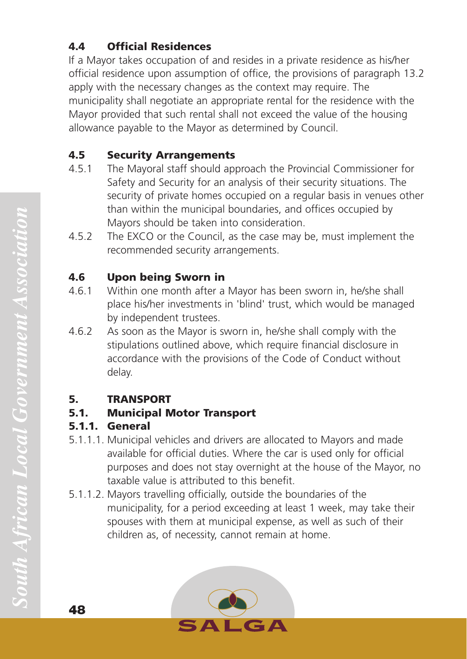# **4.4 Official Residences**

If a Mayor takes occupation of and resides in a private residence as his/her official residence upon assumption of office, the provisions of paragraph 13.2 apply with the necessary changes as the context may require. The municipality shall negotiate an appropriate rental for the residence with the Mayor provided that such rental shall not exceed the value of the housing allowance payable to the Mayor as determined by Council.

# **4.5 Security Arrangements**

- 4.5.1 The Mayoral staff should approach the Provincial Commissioner for Safety and Security for an analysis of their security situations. The security of private homes occupied on a regular basis in venues other than within the municipal boundaries, and offices occupied by Mayors should be taken into consideration.
- 4.5.2 The EXCO or the Council, as the case may be, must implement the recommended security arrangements.

# **4.6 Upon being Sworn in**

- 4.6.1 Within one month after a Mayor has been sworn in, he/she shall place his/her investments in 'blind' trust, which would be managed by independent trustees.
- 4.6.2 As soon as the Mayor is sworn in, he/she shall comply with the stipulations outlined above, which require financial disclosure in accordance with the provisions of the Code of Conduct without delay.

# **5. TRANSPORT**

# **5.1. Municipal Motor Transport**

# **5.1.1. General**

- 5.1.1.1. Municipal vehicles and drivers are allocated to Mayors and made available for official duties. Where the car is used only for official purposes and does not stay overnight at the house of the Mayor, no taxable value is attributed to this benefit.
- 5.1.1.2. Mayors travelling officially, outside the boundaries of the municipality, for a period exceeding at least 1 week, may take their spouses with them at municipal expense, as well as such of their children as, of necessity, cannot remain at home.

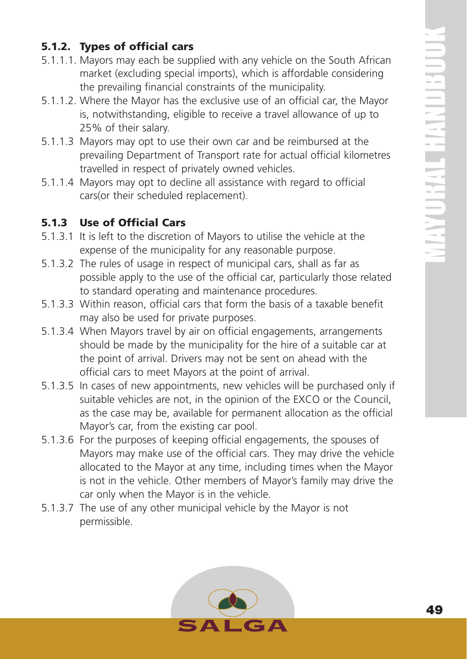# **5.1.2. Types of official cars**

- 5.1.1.1. Mayors may each be supplied with any vehicle on the South African market (excluding special imports), which is affordable considering the prevailing financial constraints of the municipality.
- 5.1.1.2. Where the Mayor has the exclusive use of an official car, the Mayor is, notwithstanding, eligible to receive a travel allowance of up to 25% of their salary.
- 5.1.1.3 Mayors may opt to use their own car and be reimbursed at the prevailing Department of Transport rate for actual official kilometres travelled in respect of privately owned vehicles.
- 5.1.1.4 Mayors may opt to decline all assistance with regard to official cars(or their scheduled replacement).

## **5.1.3 Use of Official Cars**

- 5.1.3.1 It is left to the discretion of Mayors to utilise the vehicle at the expense of the municipality for any reasonable purpose.
- 5.1.3.2 The rules of usage in respect of municipal cars, shall as far as possible apply to the use of the official car, particularly those related to standard operating and maintenance procedures.
- 5.1.3.3 Within reason, official cars that form the basis of a taxable benefit may also be used for private purposes.
- 5.1.3.4 When Mayors travel by air on official engagements, arrangements should be made by the municipality for the hire of a suitable car at the point of arrival. Drivers may not be sent on ahead with the official cars to meet Mayors at the point of arrival.
- 5.1.3.5 In cases of new appointments, new vehicles will be purchased only if suitable vehicles are not, in the opinion of the EXCO or the Council, as the case may be, available for permanent allocation as the official Mayor's car, from the existing car pool.
- 5.1.3.6 For the purposes of keeping official engagements, the spouses of Mayors may make use of the official cars. They may drive the vehicle allocated to the Mayor at any time, including times when the Mayor is not in the vehicle. Other members of Mayor's family may drive the car only when the Mayor is in the vehicle.
- 5.1.3.7 The use of any other municipal vehicle by the Mayor is not permissible.

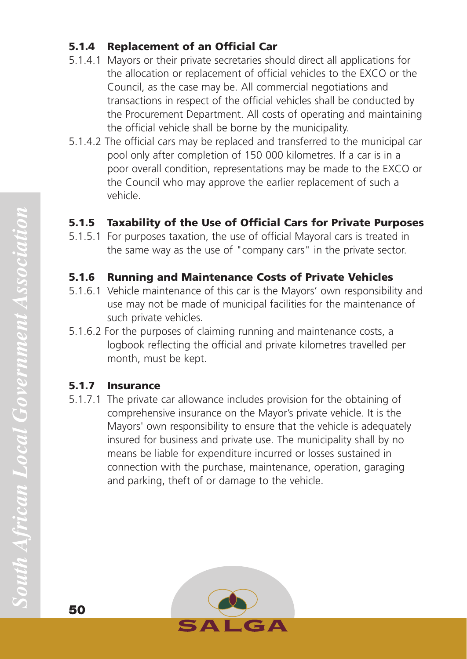# **5.1.4 Replacement of an Official Car**

- 5.1.4.1 Mayors or their private secretaries should direct all applications for the allocation or replacement of official vehicles to the EXCO or the Council, as the case may be. All commercial negotiations and transactions in respect of the official vehicles shall be conducted by the Procurement Department. All costs of operating and maintaining the official vehicle shall be borne by the municipality.
- 5.1.4.2 The official cars may be replaced and transferred to the municipal car pool only after completion of 150 000 kilometres. If a car is in a poor overall condition, representations may be made to the EXCO or the Council who may approve the earlier replacement of such a vehicle.

# **5.1.5 Taxability of the Use of Official Cars for Private Purposes**

5.1.5.1 For purposes taxation, the use of official Mayoral cars is treated in the same way as the use of "company cars" in the private sector.

## **5.1.6 Running and Maintenance Costs of Private Vehicles**

- 5.1.6.1 Vehicle maintenance of this car is the Mayors' own responsibility and use may not be made of municipal facilities for the maintenance of such private vehicles.
- 5.1.6.2 For the purposes of claiming running and maintenance costs, a logbook reflecting the official and private kilometres travelled per month, must be kept.

# **5.1.7 Insurance**

**50**

5.1.7.1 The private car allowance includes provision for the obtaining of comprehensive insurance on the Mayor's private vehicle. It is the Mayors' own responsibility to ensure that the vehicle is adequately insured for business and private use. The municipality shall by no means be liable for expenditure incurred or losses sustained in connection with the purchase, maintenance, operation, garaging and parking, theft of or damage to the vehicle.

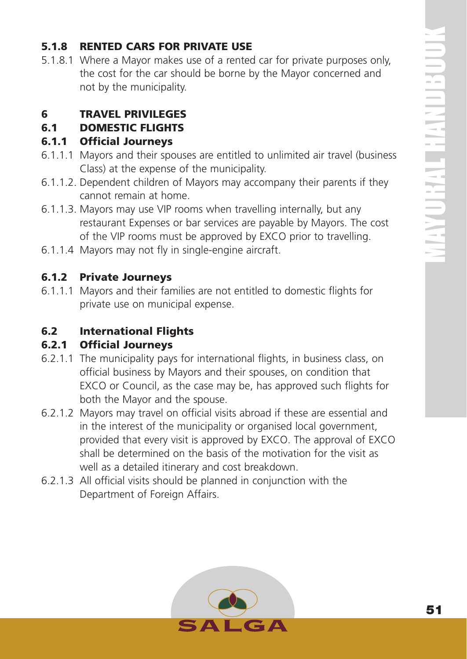# **5.1.8 RENTED CARS FOR PRIVATE USE**

5.1.8.1 Where a Mayor makes use of a rented car for private purposes only, the cost for the car should be borne by the Mayor concerned and not by the municipality.

# **6 TRAVEL PRIVILEGES**

## **6.1 DOMESTIC FLIGHTS**

### **6.1.1 Official Journeys**

- 6.1.1.1 Mayors and their spouses are entitled to unlimited air travel (business Class) at the expense of the municipality.
- 6.1.1.2. Dependent children of Mayors may accompany their parents if they cannot remain at home.
- 6.1.1.3. Mayors may use VIP rooms when travelling internally, but any restaurant Expenses or bar services are payable by Mayors. The cost of the VIP rooms must be approved by EXCO prior to travelling.
- 6.1.1.4 Mayors may not fly in single-engine aircraft.

#### **6.1.2 Private Journeys**

6.1.1.1 Mayors and their families are not entitled to domestic flights for private use on municipal expense.

## **6.2 International Flights**

## **6.2.1 Official Journeys**

- 6.2.1.1 The municipality pays for international flights, in business class, on official business by Mayors and their spouses, on condition that EXCO or Council, as the case may be, has approved such flights for both the Mayor and the spouse.
- 6.2.1.2 Mayors may travel on official visits abroad if these are essential and in the interest of the municipality or organised local government, provided that every visit is approved by EXCO. The approval of EXCO shall be determined on the basis of the motivation for the visit as well as a detailed itinerary and cost breakdown.
- 6.2.1.3 All official visits should be planned in conjunction with the Department of Foreign Affairs.

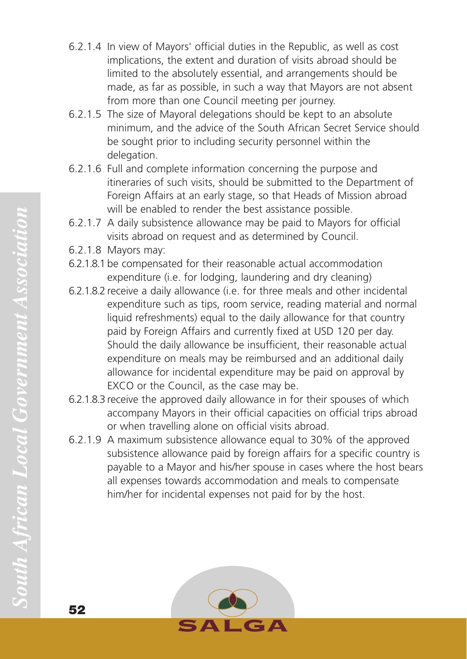- 6.2.1.4 In view of Mayors' official duties in the Republic, as well as cost implications, the extent and duration of visits abroad should be limited to the absolutely essential, and arrangements should be made, as far as possible, in such a way that Mayors are not absent from more than one Council meeting per journey.
- 6.2.1.5 The size of Mayoral delegations should be kept to an absolute minimum, and the advice of the South African Secret Service should be sought prior to including security personnel within the delegation.
- 6.2.1.6 Full and complete information concerning the purpose and itineraries of such visits, should be submitted to the Department of Foreign Affairs at an early stage, so that Heads of Mission abroad will be enabled to render the best assistance possible.
- 6.2.1.7 A daily subsistence allowance may be paid to Mayors for official visits abroad on request and as determined by Council.
- 6.2.1.8 Mayors may:
- 6.2.1.8.1 be compensated for their reasonable actual accommodation expenditure (i.e. for lodging, laundering and dry cleaning)
- 6.2.1.8.2 receive a daily allowance (i.e. for three meals and other incidental expenditure such as tips, room service, reading material and normal liquid refreshments) equal to the daily allowance for that country paid by Foreign Affairs and currently fixed at USD 120 per day. Should the daily allowance be insufficient, their reasonable actual expenditure on meals may be reimbursed and an additional daily allowance for incidental expenditure may be paid on approval by EXCO or the Council, as the case may be.
- 6.2.1.8.3 receive the approved daily allowance in for their spouses of which accompany Mayors in their official capacities on official trips abroad or when travelling alone on official visits abroad.
- 6.2.1.9 A maximum subsistence allowance equal to 30% of the approved subsistence allowance paid by foreign affairs for a specific country is payable to a Mayor and his/her spouse in cases where the host bears all expenses towards accommodation and meals to compensate him/her for incidental expenses not paid for by the host.

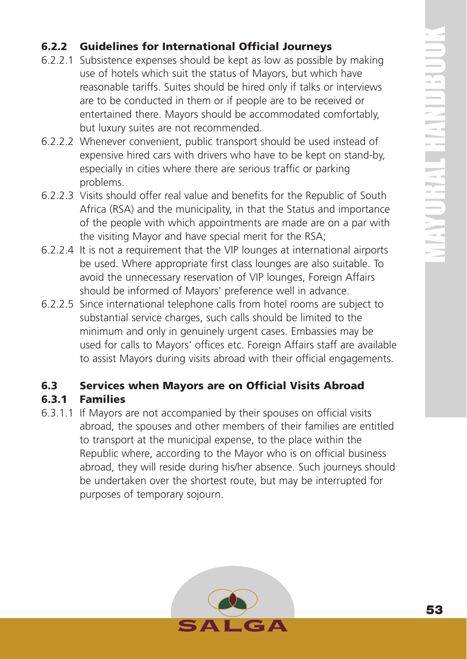## **6.2.2 Guidelines for International Official Journeys**

- 6.2.2.1 Subsistence expenses should be kept as low as possible by making use of hotels which suit the status of Mayors, but which have reasonable tariffs. Suites should be hired only if talks or interviews are to be conducted in them or if people are to be received or entertained there. Mayors should be accommodated comfortably, but luxury suites are not recommended.
- 6.2.2.2 Whenever convenient, public transport should be used instead of expensive hired cars with drivers who have to be kept on stand-by, especially in cities where there are serious traffic or parking problems.
- 6.2.2.3 Visits should offer real value and benefits for the Republic of South Africa (RSA) and the municipality, in that the Status and importance of the people with which appointments are made are on a par with the visiting Mayor and have special merit for the RSA;
- 6.2.2.4 It is not a requirement that the VIP lounges at international airports be used. Where appropriate first class lounges are also suitable. To avoid the unnecessary reservation of VIP lounges, Foreign Affairs should be informed of Mayors' preference well in advance.
- 6.2.2.5 Since international telephone calls from hotel rooms are subject to substantial service charges, such calls should be limited to the minimum and only in genuinely urgent cases. Embassies may be used for calls to Mayors' offices etc. Foreign Affairs staff are available to assist Mayors during visits abroad with their official engagements.

# **6.3 Services when Mayors are on Official Visits Abroad**

## **6.3.1 Families**

6.3.1.1 If Mayors are not accompanied by their spouses on official visits abroad, the spouses and other members of their families are entitled to transport at the municipal expense, to the place within the Republic where, according to the Mayor who is on official business abroad, they will reside during his/her absence. Such journeys should be undertaken over the shortest route, but may be interrupted for purposes of temporary sojourn.

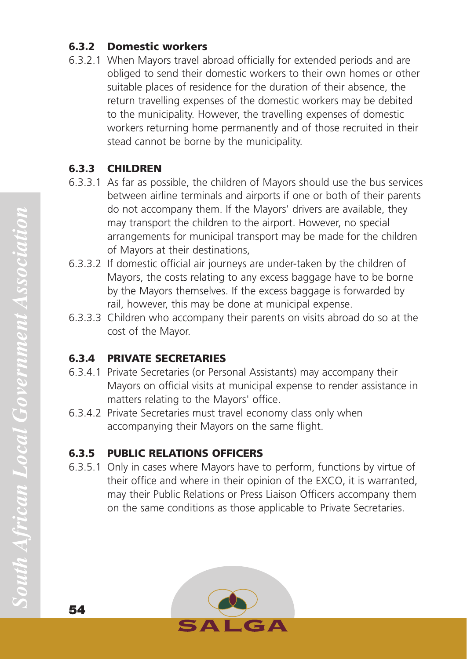## **6.3.2 Domestic workers**

6.3.2.1 When Mayors travel abroad officially for extended periods and are obliged to send their domestic workers to their own homes or other suitable places of residence for the duration of their absence, the return travelling expenses of the domestic workers may be debited to the municipality. However, the travelling expenses of domestic workers returning home permanently and of those recruited in their stead cannot be borne by the municipality.

# **6.3.3 CHILDREN**

- 6.3.3.1 As far as possible, the children of Mayors should use the bus services between airline terminals and airports if one or both of their parents do not accompany them. If the Mayors' drivers are available, they may transport the children to the airport. However, no special arrangements for municipal transport may be made for the children of Mayors at their destinations,
- 6.3.3.2 If domestic official air journeys are under-taken by the children of Mayors, the costs relating to any excess baggage have to be borne by the Mayors themselves. If the excess baggage is forwarded by rail, however, this may be done at municipal expense.
- 6.3.3.3 Children who accompany their parents on visits abroad do so at the cost of the Mayor.

## **6.3.4 PRIVATE SECRETARIES**

- 6.3.4.1 Private Secretaries (or Personal Assistants) may accompany their Mayors on official visits at municipal expense to render assistance in matters relating to the Mayors' office.
- 6.3.4.2 Private Secretaries must travel economy class only when accompanying their Mayors on the same flight.

# **6.3.5 PUBLIC RELATIONS OFFICERS**

6.3.5.1 Only in cases where Mayors have to perform, functions by virtue of their office and where in their opinion of the EXCO, it is warranted, may their Public Relations or Press Liaison Officers accompany them on the same conditions as those applicable to Private Secretaries.

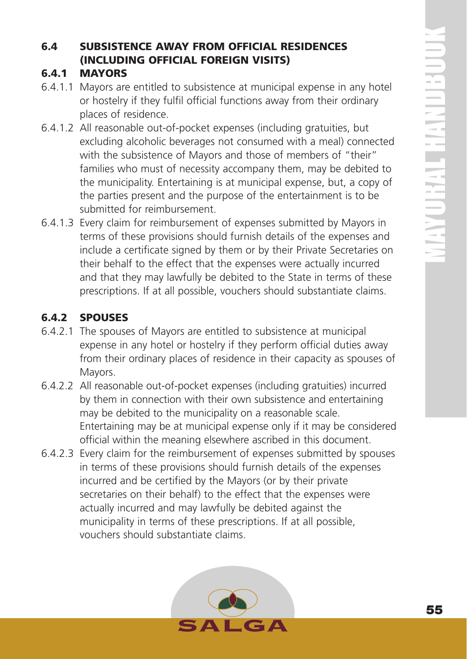## **6.4 SUBSISTENCE AWAY FROM OFFICIAL RESIDENCES (INCLUDING OFFICIAL FOREIGN VISITS)**

## **6.4.1 MAYORS**

- 6.4.1.1 Mayors are entitled to subsistence at municipal expense in any hotel or hostelry if they fulfil official functions away from their ordinary places of residence.
- 6.4.1.2 All reasonable out-of-pocket expenses (including gratuities, but excluding alcoholic beverages not consumed with a meal) connected with the subsistence of Mayors and those of members of "their" families who must of necessity accompany them, may be debited to the municipality. Entertaining is at municipal expense, but, a copy of the parties present and the purpose of the entertainment is to be submitted for reimbursement.
- 6.4.1.3 Every claim for reimbursement of expenses submitted by Mayors in terms of these provisions should furnish details of the expenses and include a certificate signed by them or by their Private Secretaries on their behalf to the effect that the expenses were actually incurred and that they may lawfully be debited to the State in terms of these prescriptions. If at all possible, vouchers should substantiate claims.

## **6.4.2 SPOUSES**

- 6.4.2.1 The spouses of Mayors are entitled to subsistence at municipal expense in any hotel or hostelry if they perform official duties away from their ordinary places of residence in their capacity as spouses of Mayors.
- 6.4.2.2 All reasonable out-of-pocket expenses (including gratuities) incurred by them in connection with their own subsistence and entertaining may be debited to the municipality on a reasonable scale. Entertaining may be at municipal expense only if it may be considered official within the meaning elsewhere ascribed in this document.
- 6.4.2.3 Every claim for the reimbursement of expenses submitted by spouses in terms of these provisions should furnish details of the expenses incurred and be certified by the Mayors (or by their private secretaries on their behalf) to the effect that the expenses were actually incurred and may lawfully be debited against the municipality in terms of these prescriptions. If at all possible, vouchers should substantiate claims.

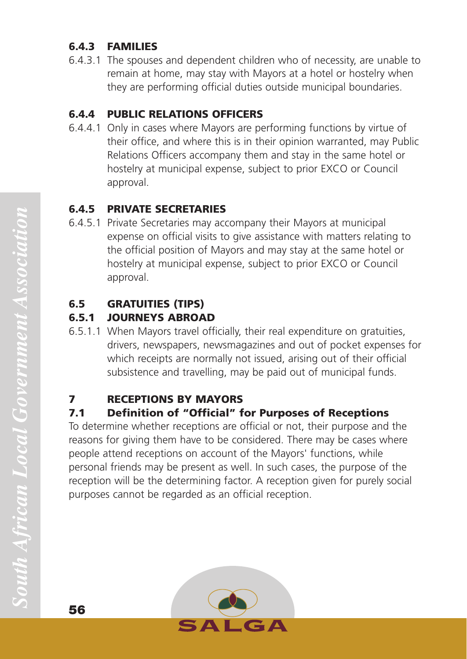# **6.4.3 FAMILIES**

6.4.3.1 The spouses and dependent children who of necessity, are unable to remain at home, may stay with Mayors at a hotel or hostelry when they are performing official duties outside municipal boundaries.

## **6.4.4 PUBLIC RELATIONS OFFICERS**

6.4.4.1 Only in cases where Mayors are performing functions by virtue of their office, and where this is in their opinion warranted, may Public Relations Officers accompany them and stay in the same hotel or hostelry at municipal expense, subject to prior EXCO or Council approval.

## **6.4.5 PRIVATE SECRETARIES**

6.4.5.1 Private Secretaries may accompany their Mayors at municipal expense on official visits to give assistance with matters relating to the official position of Mayors and may stay at the same hotel or hostelry at municipal expense, subject to prior EXCO or Council approval.

# **6.5 GRATUITIES (TIPS)**

## **6.5.1 JOURNEYS ABROAD**

6.5.1.1 When Mayors travel officially, their real expenditure on gratuities, drivers, newspapers, newsmagazines and out of pocket expenses for which receipts are normally not issued, arising out of their official subsistence and travelling, may be paid out of municipal funds.

# **7 RECEPTIONS BY MAYORS**

# **7.1 Definition of "Official" for Purposes of Receptions**

To determine whether receptions are official or not, their purpose and the reasons for giving them have to be considered. There may be cases where people attend receptions on account of the Mayors' functions, while personal friends may be present as well. In such cases, the purpose of the reception will be the determining factor. A reception given for purely social purposes cannot be regarded as an official reception.

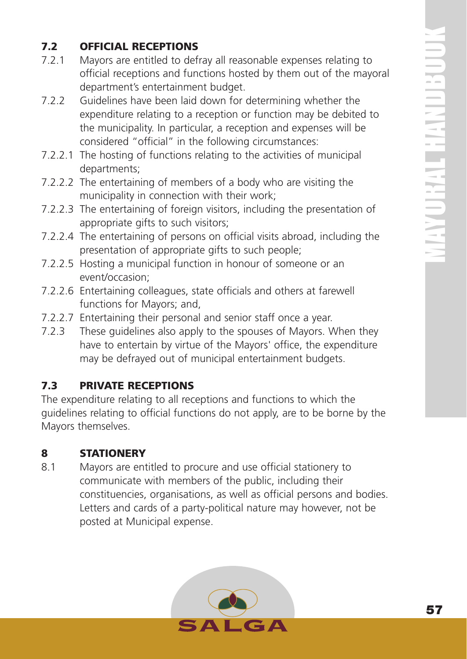# **7.2 OFFICIAL RECEPTIONS**

- 7.2.1 Mayors are entitled to defray all reasonable expenses relating to official receptions and functions hosted by them out of the mayoral department's entertainment budget.
- 7.2.2 Guidelines have been laid down for determining whether the expenditure relating to a reception or function may be debited to the municipality. In particular, a reception and expenses will be considered "official" in the following circumstances:
- 7.2.2.1 The hosting of functions relating to the activities of municipal departments;
- 7.2.2.2 The entertaining of members of a body who are visiting the municipality in connection with their work;
- 7.2.2.3 The entertaining of foreign visitors, including the presentation of appropriate gifts to such visitors;
- 7.2.2.4 The entertaining of persons on official visits abroad, including the presentation of appropriate gifts to such people;
- 7.2.2.5 Hosting a municipal function in honour of someone or an event/occasion;
- 7.2.2.6 Entertaining colleagues, state officials and others at farewell functions for Mayors; and,
- 7.2.2.7 Entertaining their personal and senior staff once a year.
- 7.2.3 These guidelines also apply to the spouses of Mayors. When they have to entertain by virtue of the Mayors' office, the expenditure may be defrayed out of municipal entertainment budgets.

# **7.3 PRIVATE RECEPTIONS**

The expenditure relating to all receptions and functions to which the guidelines relating to official functions do not apply, are to be borne by the Mayors themselves.

# **8 STATIONERY**

8.1 Mayors are entitled to procure and use official stationery to communicate with members of the public, including their constituencies, organisations, as well as official persons and bodies. Letters and cards of a party-political nature may however, not be posted at Municipal expense.

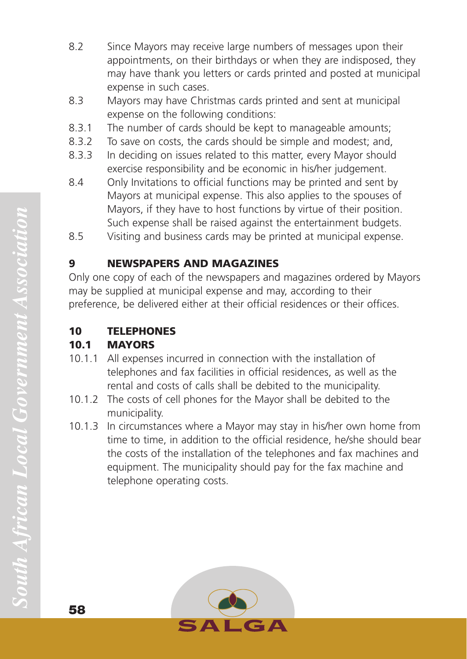- 8.2 Since Mayors may receive large numbers of messages upon their appointments, on their birthdays or when they are indisposed, they may have thank you letters or cards printed and posted at municipal expense in such cases.
- 8.3 Mayors may have Christmas cards printed and sent at municipal expense on the following conditions:
- 8.3.1 The number of cards should be kept to manageable amounts;
- 8.3.2 To save on costs, the cards should be simple and modest; and,
- 8.3.3 In deciding on issues related to this matter, every Mayor should exercise responsibility and be economic in his/her judgement.
- 8.4 Only Invitations to official functions may be printed and sent by Mayors at municipal expense. This also applies to the spouses of Mayors, if they have to host functions by virtue of their position. Such expense shall be raised against the entertainment budgets.
- 8.5 Visiting and business cards may be printed at municipal expense.

## **9 NEWSPAPERS AND MAGAZINES**

Only one copy of each of the newspapers and magazines ordered by Mayors may be supplied at municipal expense and may, according to their preference, be delivered either at their official residences or their offices.

## **10 TELEPHONES**

## **10.1 MAYORS**

- 10.1.1 All expenses incurred in connection with the installation of telephones and fax facilities in official residences, as well as the rental and costs of calls shall be debited to the municipality.
- 10.1.2 The costs of cell phones for the Mayor shall be debited to the municipality.
- 10.1.3 In circumstances where a Mayor may stay in his/her own home from time to time, in addition to the official residence, he/she should bear the costs of the installation of the telephones and fax machines and equipment. The municipality should pay for the fax machine and telephone operating costs.

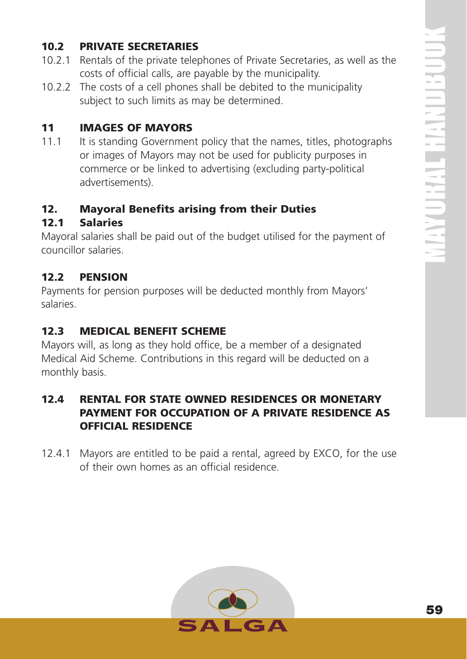# **10.2 PRIVATE SECRETARIES**

- 10.2.1 Rentals of the private telephones of Private Secretaries, as well as the costs of official calls, are payable by the municipality.
- 10.2.2 The costs of a cell phones shall be debited to the municipality subject to such limits as may be determined.

#### **11 IMAGES OF MAYORS**

11.1 It is standing Government policy that the names, titles, photographs or images of Mayors may not be used for publicity purposes in commerce or be linked to advertising (excluding party-political advertisements).

#### **12. Mayoral Benefits arising from their Duties**

#### **12.1 Salaries**

Mayoral salaries shall be paid out of the budget utilised for the payment of councillor salaries.

## **12.2 PENSION**

Payments for pension purposes will be deducted monthly from Mayors' salaries.

### **12.3 MEDICAL BENEFIT SCHEME**

Mayors will, as long as they hold office, be a member of a designated Medical Aid Scheme. Contributions in this regard will be deducted on a monthly basis.

### **12.4 RENTAL FOR STATE OWNED RESIDENCES OR MONETARY PAYMENT FOR OCCUPATION OF A PRIVATE RESIDENCE AS OFFICIAL RESIDENCE**

12.4.1 Mayors are entitled to be paid a rental, agreed by EXCO, for the use of their own homes as an official residence.

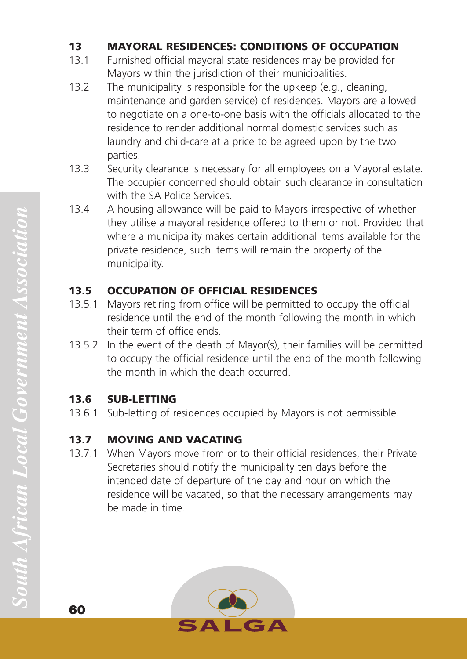# **13 MAYORAL RESIDENCES: CONDITIONS OF OCCUPATION**

- 13.1 Furnished official mayoral state residences may be provided for Mayors within the jurisdiction of their municipalities.
- 13.2 The municipality is responsible for the upkeep (e.g., cleaning, maintenance and garden service) of residences. Mayors are allowed to negotiate on a one-to-one basis with the officials allocated to the residence to render additional normal domestic services such as laundry and child-care at a price to be agreed upon by the two parties.
- 13.3 Security clearance is necessary for all employees on a Mayoral estate. The occupier concerned should obtain such clearance in consultation with the SA Police Services.
- 13.4 A housing allowance will be paid to Mayors irrespective of whether they utilise a mayoral residence offered to them or not. Provided that where a municipality makes certain additional items available for the private residence, such items will remain the property of the municipality.

# **13.5 OCCUPATION OF OFFICIAL RESIDENCES**

- 13.5.1 Mayors retiring from office will be permitted to occupy the official residence until the end of the month following the month in which their term of office ends.
- 13.5.2 In the event of the death of Mayor(s), their families will be permitted to occupy the official residence until the end of the month following the month in which the death occurred.

# **13.6 SUB-LETTING**

13.6.1 Sub-letting of residences occupied by Mayors is not permissible.

# **13.7 MOVING AND VACATING**

13.7.1 When Mayors move from or to their official residences, their Private Secretaries should notify the municipality ten days before the intended date of departure of the day and hour on which the residence will be vacated, so that the necessary arrangements may be made in time.

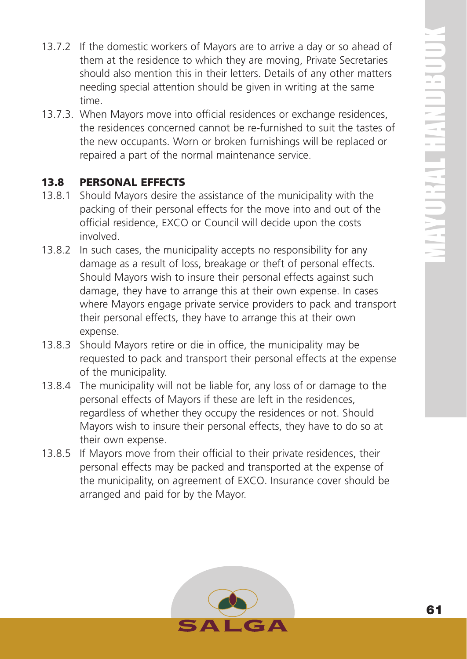- 13.7.2 If the domestic workers of Mayors are to arrive a day or so ahead of them at the residence to which they are moving, Private Secretaries should also mention this in their letters. Details of any other matters needing special attention should be given in writing at the same time.
- 13.7.3. When Mayors move into official residences or exchange residences, the residences concerned cannot be re-furnished to suit the tastes of the new occupants. Worn or broken furnishings will be replaced or repaired a part of the normal maintenance service.

#### **13.8 PERSONAL EFFECTS**

- 13.8.1 Should Mayors desire the assistance of the municipality with the packing of their personal effects for the move into and out of the official residence, EXCO or Council will decide upon the costs involved.
- 13.8.2 In such cases, the municipality accepts no responsibility for any damage as a result of loss, breakage or theft of personal effects. Should Mayors wish to insure their personal effects against such damage, they have to arrange this at their own expense. In cases where Mayors engage private service providers to pack and transport their personal effects, they have to arrange this at their own expense.
- 13.8.3 Should Mayors retire or die in office, the municipality may be requested to pack and transport their personal effects at the expense of the municipality.
- 13.8.4 The municipality will not be liable for, any loss of or damage to the personal effects of Mayors if these are left in the residences, regardless of whether they occupy the residences or not. Should Mayors wish to insure their personal effects, they have to do so at their own expense.
- 13.8.5 If Mayors move from their official to their private residences, their personal effects may be packed and transported at the expense of the municipality, on agreement of EXCO. Insurance cover should be arranged and paid for by the Mayor.

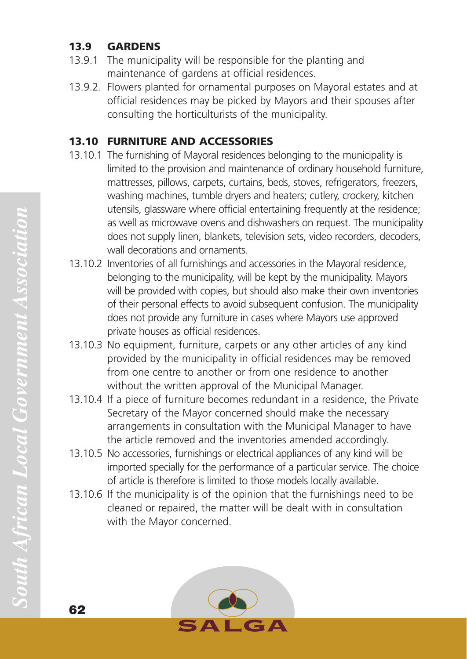## **13.9 GARDENS**

- 13.9.1 The municipality will be responsible for the planting and maintenance of gardens at official residences.
- 13.9.2. Flowers planted for ornamental purposes on Mayoral estates and at official residences may be picked by Mayors and their spouses after consulting the horticulturists of the municipality.

# **13.10 FURNITURE AND ACCESSORIES**

- 13.10.1 The furnishing of Mayoral residences belonging to the municipality is limited to the provision and maintenance of ordinary household furniture, mattresses, pillows, carpets, curtains, beds, stoves, refrigerators, freezers, washing machines, tumble dryers and heaters; cutlery, crockery, kitchen utensils, glassware where official entertaining frequently at the residence; as well as microwave ovens and dishwashers on request. The municipality does not supply linen, blankets, television sets, video recorders, decoders, wall decorations and ornaments.
- 13.10.2 Inventories of all furnishings and accessories in the Mayoral residence, belonging to the municipality, will be kept by the municipality. Mayors will be provided with copies, but should also make their own inventories of their personal effects to avoid subsequent confusion. The municipality does not provide any furniture in cases where Mayors use approved private houses as official residences.
- 13.10.3 No equipment, furniture, carpets or any other articles of any kind provided by the municipality in official residences may be removed from one centre to another or from one residence to another without the written approval of the Municipal Manager.
- 13.10.4 If a piece of furniture becomes redundant in a residence, the Private Secretary of the Mayor concerned should make the necessary arrangements in consultation with the Municipal Manager to have the article removed and the inventories amended accordingly.
- 13.10.5 No accessories, furnishings or electrical appliances of any kind will be imported specially for the performance of a particular service. The choice of article is therefore is limited to those models locally available.
- 13.10.6 If the municipality is of the opinion that the furnishings need to be cleaned or repaired, the matter will be dealt with in consultation with the Mayor concerned.

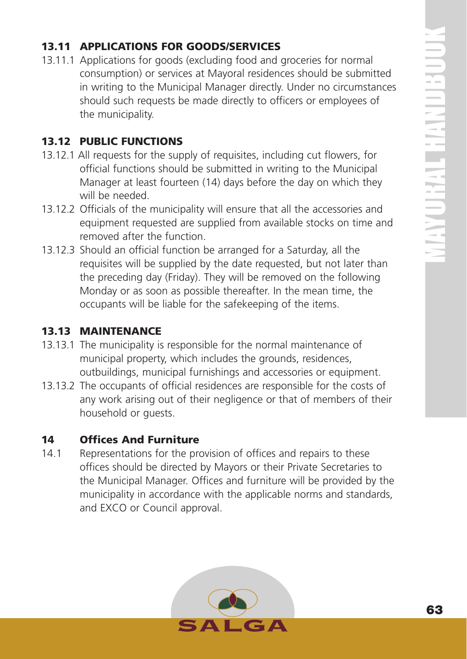## **13.11 APPLICATIONS FOR GOODS/SERVICES**

13.11.1 Applications for goods (excluding food and groceries for normal consumption) or services at Mayoral residences should be submitted in writing to the Municipal Manager directly. Under no circumstances should such requests be made directly to officers or employees of the municipality.

#### **13.12 PUBLIC FUNCTIONS**

- 13.12.1 All requests for the supply of requisites, including cut flowers, for official functions should be submitted in writing to the Municipal Manager at least fourteen (14) days before the day on which they will be needed.
- 13.12.2 Officials of the municipality will ensure that all the accessories and equipment requested are supplied from available stocks on time and removed after the function.
- 13.12.3 Should an official function be arranged for a Saturday, all the requisites will be supplied by the date requested, but not later than the preceding day (Friday). They will be removed on the following Monday or as soon as possible thereafter. In the mean time, the occupants will be liable for the safekeeping of the items.

#### **13.13 MAINTENANCE**

- 13.13.1 The municipality is responsible for the normal maintenance of municipal property, which includes the grounds, residences, outbuildings, municipal furnishings and accessories or equipment.
- 13.13.2 The occupants of official residences are responsible for the costs of any work arising out of their negligence or that of members of their household or guests.

#### **14 Offices And Furniture**

14.1 Representations for the provision of offices and repairs to these offices should be directed by Mayors or their Private Secretaries to the Municipal Manager. Offices and furniture will be provided by the municipality in accordance with the applicable norms and standards, and EXCO or Council approval.

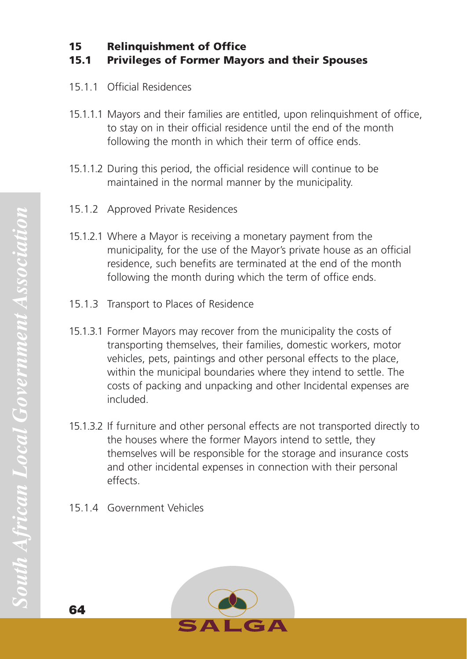### **15 Relinquishment of Office**

## **15.1 Privileges of Former Mayors and their Spouses**

- 15.1.1 Official Residences
- 15.1.1.1 Mayors and their families are entitled, upon relinquishment of office, to stay on in their official residence until the end of the month following the month in which their term of office ends.
- 15.1.1.2 During this period, the official residence will continue to be maintained in the normal manner by the municipality.
- 15.1.2 Approved Private Residences
- 15.1.2.1 Where a Mayor is receiving a monetary payment from the municipality, for the use of the Mayor's private house as an official residence, such benefits are terminated at the end of the month following the month during which the term of office ends.
- 15.1.3 Transport to Places of Residence
- 15.1.3.1 Former Mayors may recover from the municipality the costs of transporting themselves, their families, domestic workers, motor vehicles, pets, paintings and other personal effects to the place, within the municipal boundaries where they intend to settle. The costs of packing and unpacking and other Incidental expenses are included.
- 15.1.3.2 If furniture and other personal effects are not transported directly to the houses where the former Mayors intend to settle, they themselves will be responsible for the storage and insurance costs and other incidental expenses in connection with their personal effects.
- 15.1.4 Government Vehicles

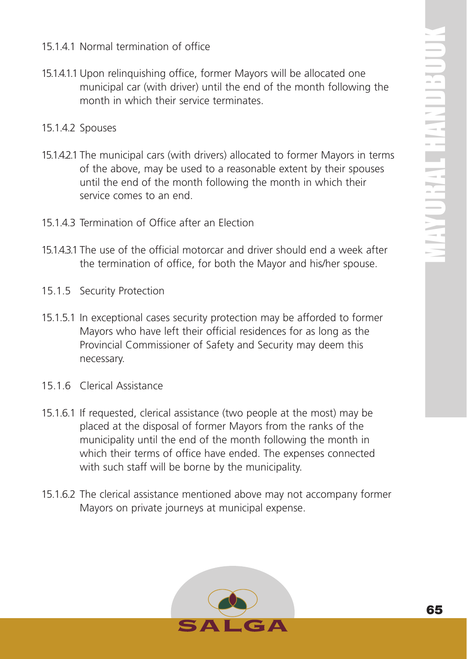#### 15.1.4.1 Normal termination of office

15.1.4.1.1Upon relinquishing office, former Mayors will be allocated one municipal car (with driver) until the end of the month following the month in which their service terminates.

#### 15.1.4.2 Spouses

- 15.1.4.2.1 The municipal cars (with drivers) allocated to former Mayors in terms of the above, may be used to a reasonable extent by their spouses until the end of the month following the month in which their service comes to an end.
- 15.1.4.3 Termination of Office after an Election
- 15.1.4.3.1 The use of the official motorcar and driver should end a week after the termination of office, for both the Mayor and his/her spouse.
- 15.1.5 Security Protection
- 15.1.5.1 In exceptional cases security protection may be afforded to former Mayors who have left their official residences for as long as the Provincial Commissioner of Safety and Security may deem this necessary.
- 15.1.6 Clerical Assistance
- 15.1.6.1 If requested, clerical assistance (two people at the most) may be placed at the disposal of former Mayors from the ranks of the municipality until the end of the month following the month in which their terms of office have ended. The expenses connected with such staff will be borne by the municipality.
- 15.1.6.2 The clerical assistance mentioned above may not accompany former Mayors on private journeys at municipal expense.

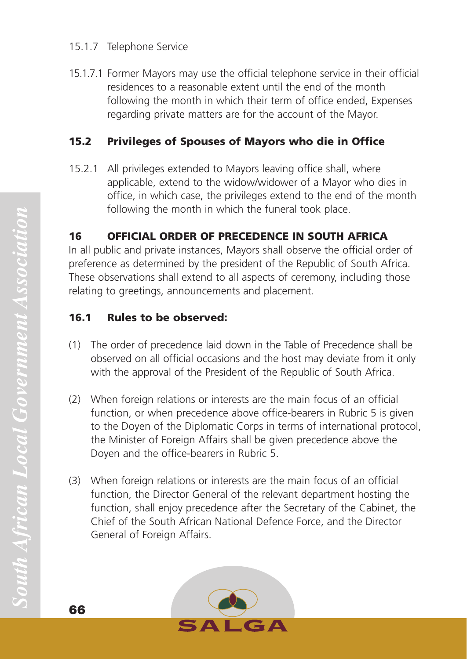#### 15.1.7 Telephone Service

15.1.7.1 Former Mayors may use the official telephone service in their official residences to a reasonable extent until the end of the month following the month in which their term of office ended, Expenses regarding private matters are for the account of the Mayor.

## **15.2 Privileges of Spouses of Mayors who die in Office**

15.2.1 All privileges extended to Mayors leaving office shall, where applicable, extend to the widow/widower of a Mayor who dies in office, in which case, the privileges extend to the end of the month following the month in which the funeral took place.

# **16 OFFICIAL ORDER OF PRECEDENCE IN SOUTH AFRICA**

In all public and private instances, Mayors shall observe the official order of preference as determined by the president of the Republic of South Africa. These observations shall extend to all aspects of ceremony, including those relating to greetings, announcements and placement.

## **16.1 Rules to be observed:**

- (1) The order of precedence laid down in the Table of Precedence shall be observed on all official occasions and the host may deviate from it only with the approval of the President of the Republic of South Africa.
- (2) When foreign relations or interests are the main focus of an official function, or when precedence above office-bearers in Rubric 5 is given to the Doyen of the Diplomatic Corps in terms of international protocol, the Minister of Foreign Affairs shall be given precedence above the Doyen and the office-bearers in Rubric 5.
- (3) When foreign relations or interests are the main focus of an official function, the Director General of the relevant department hosting the function, shall enjoy precedence after the Secretary of the Cabinet, the Chief of the South African National Defence Force, and the Director General of Foreign Affairs.

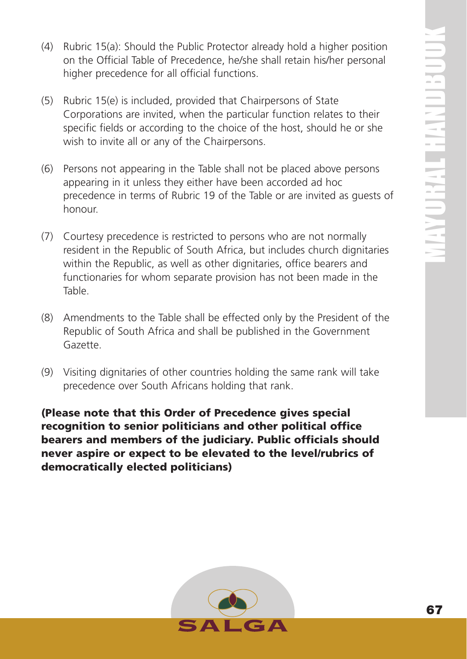- (4) Rubric 15(a): Should the Public Protector already hold a higher position on the Official Table of Precedence, he/she shall retain his/her personal higher precedence for all official functions.
- (5) Rubric 15(e) is included, provided that Chairpersons of State Corporations are invited, when the particular function relates to their specific fields or according to the choice of the host, should he or she wish to invite all or any of the Chairpersons.
- (6) Persons not appearing in the Table shall not be placed above persons appearing in it unless they either have been accorded ad hoc precedence in terms of Rubric 19 of the Table or are invited as guests of honour.
- (7) Courtesy precedence is restricted to persons who are not normally resident in the Republic of South Africa, but includes church dignitaries within the Republic, as well as other dignitaries, office bearers and functionaries for whom separate provision has not been made in the Table.
- (8) Amendments to the Table shall be effected only by the President of the Republic of South Africa and shall be published in the Government Gazette.
- (9) Visiting dignitaries of other countries holding the same rank will take precedence over South Africans holding that rank.

**(Please note that this Order of Precedence gives special recognition to senior politicians and other political office bearers and members of the judiciary. Public officials should never aspire or expect to be elevated to the level/rubrics of democratically elected politicians)**

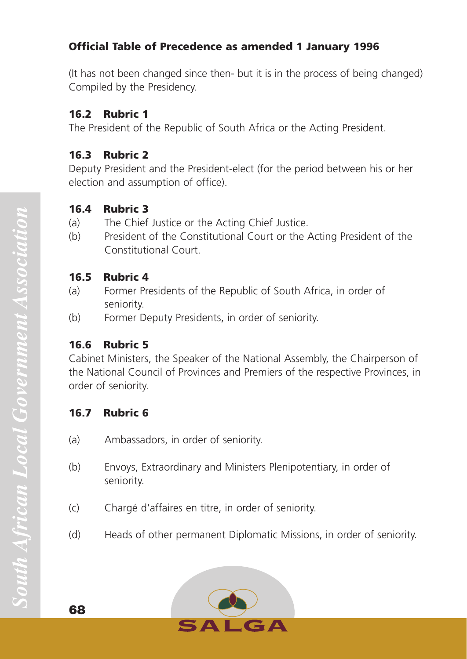# **Official Table of Precedence as amended 1 January 1996**

(It has not been changed since then- but it is in the process of being changed) Compiled by the Presidency.

## **16.2 Rubric 1**

The President of the Republic of South Africa or the Acting President.

## **16.3 Rubric 2**

Deputy President and the President-elect (for the period between his or her election and assumption of office).

## **16.4 Rubric 3**

- (a) The Chief Justice or the Acting Chief Justice.
- (b) President of the Constitutional Court or the Acting President of the Constitutional Court.

## **16.5 Rubric 4**

- (a) Former Presidents of the Republic of South Africa, in order of seniority.
- (b) Former Deputy Presidents, in order of seniority.

# **16.6 Rubric 5**

Cabinet Ministers, the Speaker of the National Assembly, the Chairperson of the National Council of Provinces and Premiers of the respective Provinces, in order of seniority.

# **16.7 Rubric 6**

- (a) Ambassadors, in order of seniority.
- (b) Envoys, Extraordinary and Ministers Plenipotentiary, in order of seniority.
- (c) Chargé d'affaires en titre, in order of seniority.
- (d) Heads of other permanent Diplomatic Missions, in order of seniority.

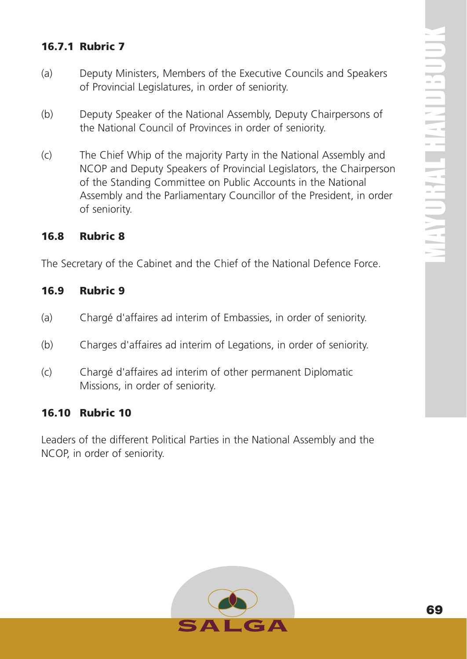## **16.7.1 Rubric 7**

- (a) Deputy Ministers, Members of the Executive Councils and Speakers of Provincial Legislatures, in order of seniority.
- (b) Deputy Speaker of the National Assembly, Deputy Chairpersons of the National Council of Provinces in order of seniority.
- (c) The Chief Whip of the majority Party in the National Assembly and NCOP and Deputy Speakers of Provincial Legislators, the Chairperson of the Standing Committee on Public Accounts in the National Assembly and the Parliamentary Councillor of the President, in order of seniority.

#### **16.8 Rubric 8**

The Secretary of the Cabinet and the Chief of the National Defence Force.

#### **16.9 Rubric 9**

- (a) Chargé d'affaires ad interim of Embassies, in order of seniority.
- (b) Charges d'affaires ad interim of Legations, in order of seniority.
- (c) Chargé d'affaires ad interim of other permanent Diplomatic Missions, in order of seniority.

## **16.10 Rubric 10**

Leaders of the different Political Parties in the National Assembly and the NCOP, in order of seniority.

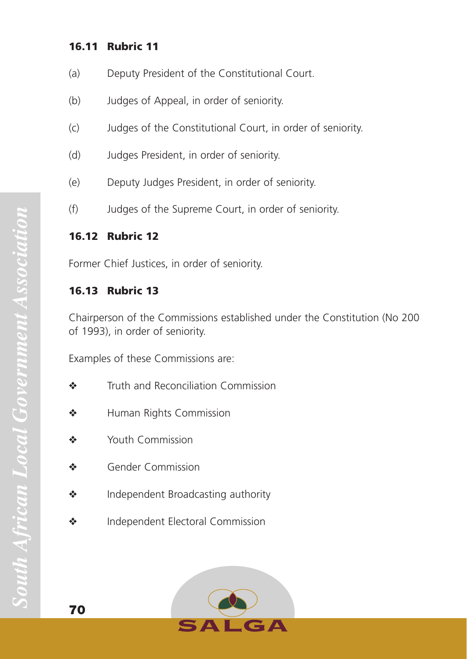## **16.11 Rubric 11**

- (a) Deputy President of the Constitutional Court.
- (b) Judges of Appeal, in order of seniority.
- (c) Judges of the Constitutional Court, in order of seniority.
- (d) Judges President, in order of seniority.
- (e) Deputy Judges President, in order of seniority.
- (f) Judges of the Supreme Court, in order of seniority.

## **16.12 Rubric 12**

Former Chief Justices, in order of seniority.

## **16.13 Rubric 13**

Chairperson of the Commissions established under the Constitution (No 200 of 1993), in order of seniority.

Examples of these Commissions are:

- ❖ Truth and Reconciliation Commission
- ❖ Human Rights Commission
- ❖ Youth Commission
- ❖ Gender Commission
- ❖ Independent Broadcasting authority
- ❖ Independent Electoral Commission

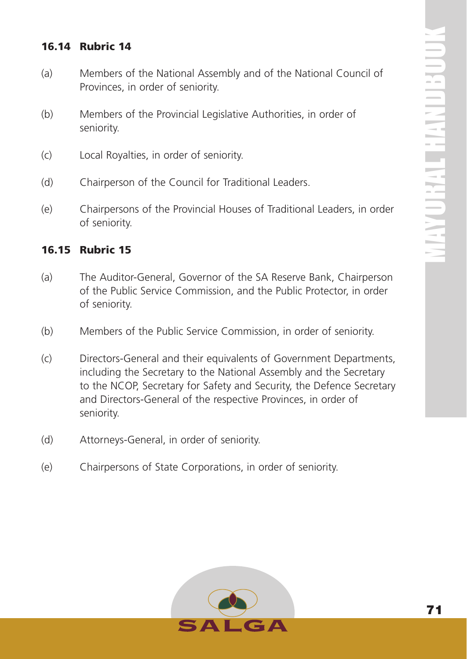### **16.14 Rubric 14**

- (a) Members of the National Assembly and of the National Council of Provinces, in order of seniority.
- (b) Members of the Provincial Legislative Authorities, in order of seniority.
- (c) Local Royalties, in order of seniority.
- (d) Chairperson of the Council for Traditional Leaders.
- (e) Chairpersons of the Provincial Houses of Traditional Leaders, in order of seniority.

#### **16.15 Rubric 15**

- (a) The Auditor-General, Governor of the SA Reserve Bank, Chairperson of the Public Service Commission, and the Public Protector, in order of seniority.
- (b) Members of the Public Service Commission, in order of seniority.
- (c) Directors-General and their equivalents of Government Departments, including the Secretary to the National Assembly and the Secretary to the NCOP, Secretary for Safety and Security, the Defence Secretary and Directors-General of the respective Provinces, in order of seniority.
- (d) Attorneys-General, in order of seniority.
- (e) Chairpersons of State Corporations, in order of seniority.

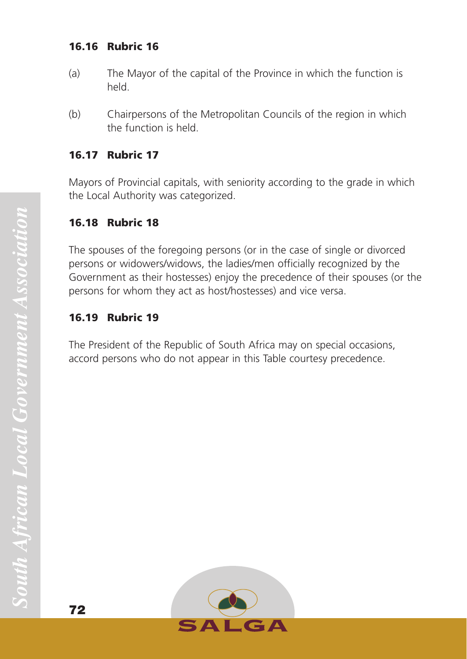### **16.16 Rubric 16**

- (a) The Mayor of the capital of the Province in which the function is held.
- (b) Chairpersons of the Metropolitan Councils of the region in which the function is held.

## **16.17 Rubric 17**

Mayors of Provincial capitals, with seniority according to the grade in which the Local Authority was categorized.

## **16.18 Rubric 18**

The spouses of the foregoing persons (or in the case of single or divorced persons or widowers/widows, the ladies/men officially recognized by the Government as their hostesses) enjoy the precedence of their spouses (or the persons for whom they act as host/hostesses) and vice versa.

## **16.19 Rubric 19**

The President of the Republic of South Africa may on special occasions, accord persons who do not appear in this Table courtesy precedence.

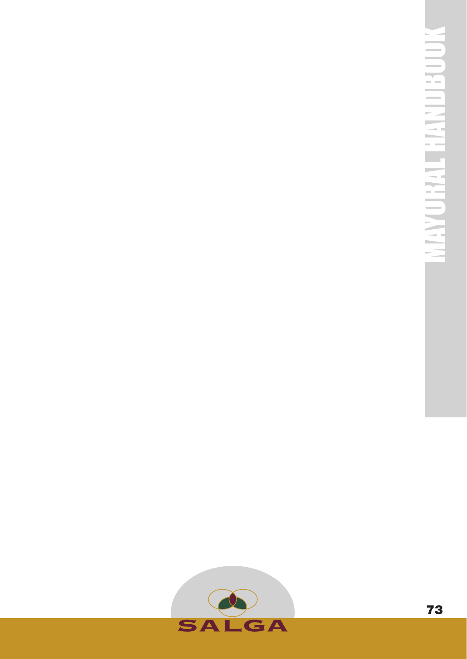